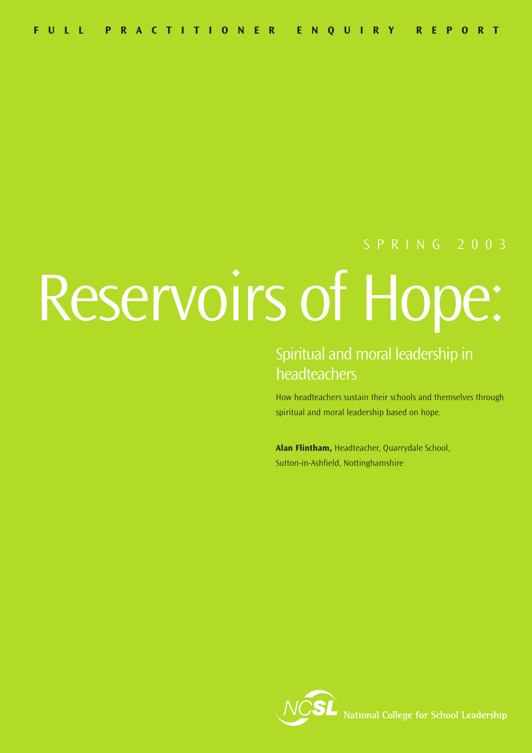# SPRING 2003

# Reservoirs of Hope:

# Spiritual and moral leadership in headteachers

How headteachers sustain their schools and themselves through spiritual and moral leadership based on hope.

**Alan Flintham,** Headteacher, Quarrydale School, Sutton-in-Ashfield, Nottinghamshire

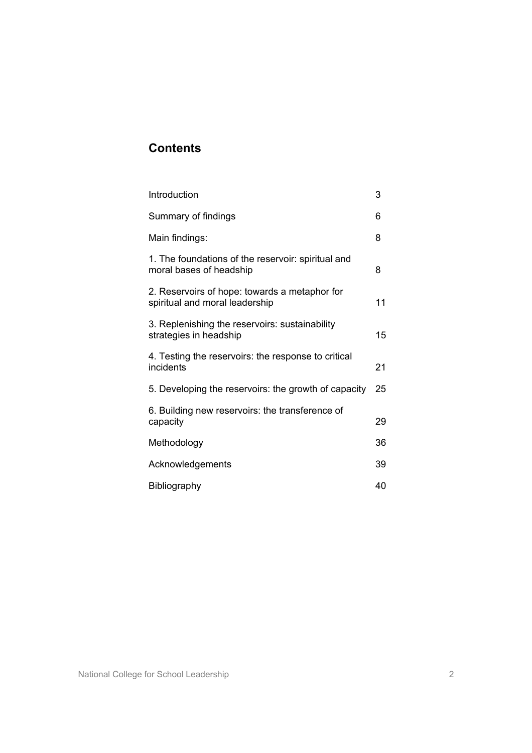# **Contents**

| Introduction                                                                    | 3  |
|---------------------------------------------------------------------------------|----|
| Summary of findings                                                             | 6  |
| Main findings:                                                                  | 8  |
| 1. The foundations of the reservoir: spiritual and<br>moral bases of headship   | 8  |
| 2. Reservoirs of hope: towards a metaphor for<br>spiritual and moral leadership | 11 |
| 3. Replenishing the reservoirs: sustainability<br>strategies in headship        | 15 |
| 4. Testing the reservoirs: the response to critical<br>incidents                | 21 |
| 5. Developing the reservoirs: the growth of capacity                            | 25 |
| 6. Building new reservoirs: the transference of<br>capacity                     | 29 |
| Methodology                                                                     | 36 |
| Acknowledgements                                                                | 39 |
| <b>Bibliography</b>                                                             | 40 |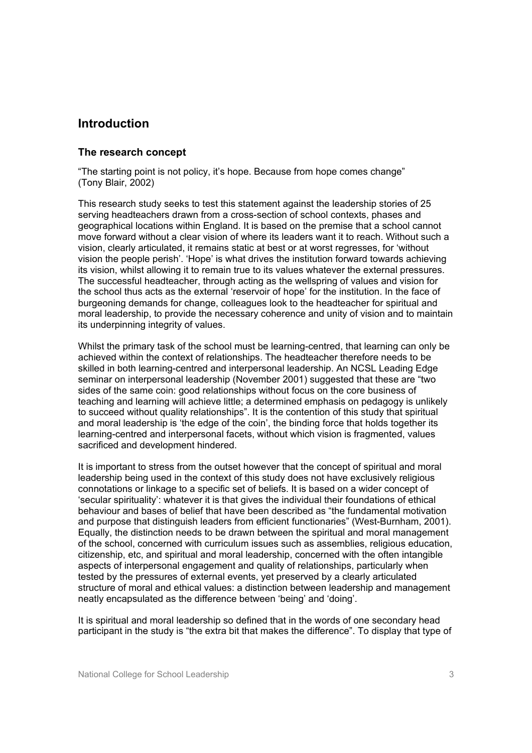### **Introduction**

#### **The research concept**

"The starting point is not policy, it's hope. Because from hope comes change" (Tony Blair, 2002)

This research study seeks to test this statement against the leadership stories of 25 serving headteachers drawn from a cross-section of school contexts, phases and geographical locations within England. It is based on the premise that a school cannot move forward without a clear vision of where its leaders want it to reach. Without such a vision, clearly articulated, it remains static at best or at worst regresses, for 'without vision the people perish'. 'Hope' is what drives the institution forward towards achieving its vision, whilst allowing it to remain true to its values whatever the external pressures. The successful headteacher, through acting as the wellspring of values and vision for the school thus acts as the external 'reservoir of hope' for the institution. In the face of burgeoning demands for change, colleagues look to the headteacher for spiritual and moral leadership, to provide the necessary coherence and unity of vision and to maintain its underpinning integrity of values.

Whilst the primary task of the school must be learning-centred, that learning can only be achieved within the context of relationships. The headteacher therefore needs to be skilled in both learning-centred and interpersonal leadership. An NCSL Leading Edge seminar on interpersonal leadership (November 2001) suggested that these are "two sides of the same coin: good relationships without focus on the core business of teaching and learning will achieve little; a determined emphasis on pedagogy is unlikely to succeed without quality relationships". It is the contention of this study that spiritual and moral leadership is 'the edge of the coin', the binding force that holds together its learning-centred and interpersonal facets, without which vision is fragmented, values sacrificed and development hindered.

It is important to stress from the outset however that the concept of spiritual and moral leadership being used in the context of this study does not have exclusively religious connotations or linkage to a specific set of beliefs. It is based on a wider concept of 'secular spirituality': whatever it is that gives the individual their foundations of ethical behaviour and bases of belief that have been described as "the fundamental motivation and purpose that distinguish leaders from efficient functionaries" (West-Burnham, 2001). Equally, the distinction needs to be drawn between the spiritual and moral management of the school, concerned with curriculum issues such as assemblies, religious education, citizenship, etc, and spiritual and moral leadership, concerned with the often intangible aspects of interpersonal engagement and quality of relationships, particularly when tested by the pressures of external events, yet preserved by a clearly articulated structure of moral and ethical values: a distinction between leadership and management neatly encapsulated as the difference between 'being' and 'doing'.

It is spiritual and moral leadership so defined that in the words of one secondary head participant in the study is "the extra bit that makes the difference". To display that type of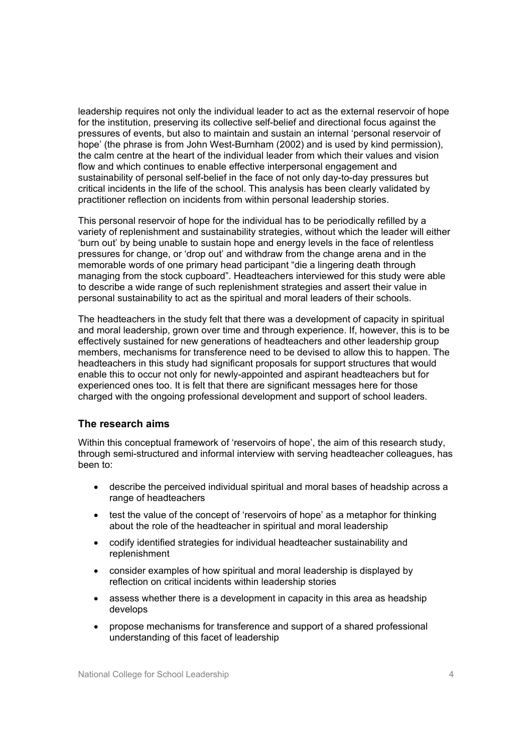leadership requires not only the individual leader to act as the external reservoir of hope for the institution, preserving its collective self-belief and directional focus against the pressures of events, but also to maintain and sustain an internal 'personal reservoir of hope' (the phrase is from John West-Burnham (2002) and is used by kind permission), the calm centre at the heart of the individual leader from which their values and vision flow and which continues to enable effective interpersonal engagement and sustainability of personal self-belief in the face of not only day-to-day pressures but critical incidents in the life of the school. This analysis has been clearly validated by practitioner reflection on incidents from within personal leadership stories.

This personal reservoir of hope for the individual has to be periodically refilled by a variety of replenishment and sustainability strategies, without which the leader will either 'burn out' by being unable to sustain hope and energy levels in the face of relentless pressures for change, or 'drop out' and withdraw from the change arena and in the memorable words of one primary head participant "die a lingering death through managing from the stock cupboard". Headteachers interviewed for this study were able to describe a wide range of such replenishment strategies and assert their value in personal sustainability to act as the spiritual and moral leaders of their schools.

The headteachers in the study felt that there was a development of capacity in spiritual and moral leadership, grown over time and through experience. If, however, this is to be effectively sustained for new generations of headteachers and other leadership group members, mechanisms for transference need to be devised to allow this to happen. The headteachers in this study had significant proposals for support structures that would enable this to occur not only for newly-appointed and aspirant headteachers but for experienced ones too. It is felt that there are significant messages here for those charged with the ongoing professional development and support of school leaders.

#### **The research aims**

Within this conceptual framework of 'reservoirs of hope', the aim of this research study, through semi-structured and informal interview with serving headteacher colleagues, has been to:

- describe the perceived individual spiritual and moral bases of headship across a range of headteachers
- test the value of the concept of 'reservoirs of hope' as a metaphor for thinking about the role of the headteacher in spiritual and moral leadership
- codify identified strategies for individual headteacher sustainability and replenishment
- consider examples of how spiritual and moral leadership is displayed by reflection on critical incidents within leadership stories
- assess whether there is a development in capacity in this area as headship develops
- propose mechanisms for transference and support of a shared professional understanding of this facet of leadership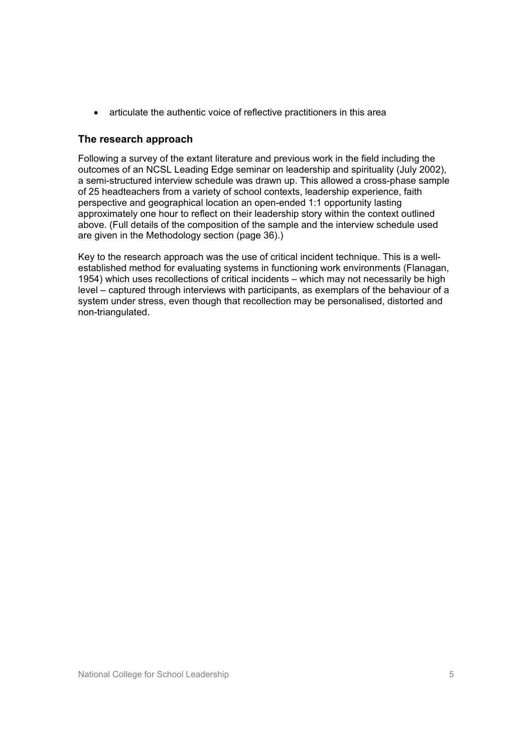• articulate the authentic voice of reflective practitioners in this area

#### **The research approach**

Following a survey of the extant literature and previous work in the field including the outcomes of an NCSL Leading Edge seminar on leadership and spirituality (July 2002), a semi-structured interview schedule was drawn up. This allowed a cross-phase sample of 25 headteachers from a variety of school contexts, leadership experience, faith perspective and geographical location an open-ended 1:1 opportunity lasting approximately one hour to reflect on their leadership story within the context outlined above. (Full details of the composition of the sample and the interview schedule used are given in the Methodology section (page 36).)

Key to the research approach was the use of critical incident technique. This is a wellestablished method for evaluating systems in functioning work environments (Flanagan, 1954) which uses recollections of critical incidents – which may not necessarily be high level – captured through interviews with participants, as exemplars of the behaviour of a system under stress, even though that recollection may be personalised, distorted and non-triangulated.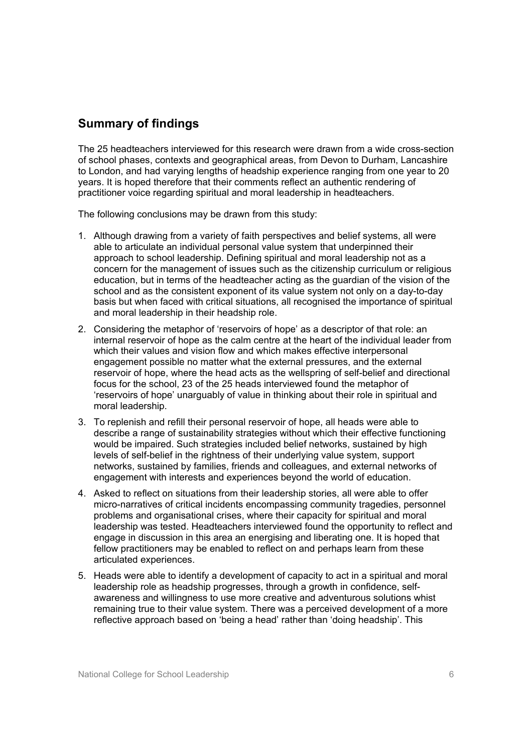# **Summary of findings**

The 25 headteachers interviewed for this research were drawn from a wide cross-section of school phases, contexts and geographical areas, from Devon to Durham, Lancashire to London, and had varying lengths of headship experience ranging from one year to 20 years. It is hoped therefore that their comments reflect an authentic rendering of practitioner voice regarding spiritual and moral leadership in headteachers.

The following conclusions may be drawn from this study:

- 1. Although drawing from a variety of faith perspectives and belief systems, all were able to articulate an individual personal value system that underpinned their approach to school leadership. Defining spiritual and moral leadership not as a concern for the management of issues such as the citizenship curriculum or religious education, but in terms of the headteacher acting as the guardian of the vision of the school and as the consistent exponent of its value system not only on a day-to-day basis but when faced with critical situations, all recognised the importance of spiritual and moral leadership in their headship role.
- 2. Considering the metaphor of 'reservoirs of hope' as a descriptor of that role: an internal reservoir of hope as the calm centre at the heart of the individual leader from which their values and vision flow and which makes effective interpersonal engagement possible no matter what the external pressures, and the external reservoir of hope, where the head acts as the wellspring of self-belief and directional focus for the school, 23 of the 25 heads interviewed found the metaphor of 'reservoirs of hope' unarguably of value in thinking about their role in spiritual and moral leadership.
- 3. To replenish and refill their personal reservoir of hope, all heads were able to describe a range of sustainability strategies without which their effective functioning would be impaired. Such strategies included belief networks, sustained by high levels of self-belief in the rightness of their underlying value system, support networks, sustained by families, friends and colleagues, and external networks of engagement with interests and experiences beyond the world of education.
- 4. Asked to reflect on situations from their leadership stories, all were able to offer micro-narratives of critical incidents encompassing community tragedies, personnel problems and organisational crises, where their capacity for spiritual and moral leadership was tested. Headteachers interviewed found the opportunity to reflect and engage in discussion in this area an energising and liberating one. It is hoped that fellow practitioners may be enabled to reflect on and perhaps learn from these articulated experiences.
- 5. Heads were able to identify a development of capacity to act in a spiritual and moral leadership role as headship progresses, through a growth in confidence, selfawareness and willingness to use more creative and adventurous solutions whist remaining true to their value system. There was a perceived development of a more reflective approach based on 'being a head' rather than 'doing headship'. This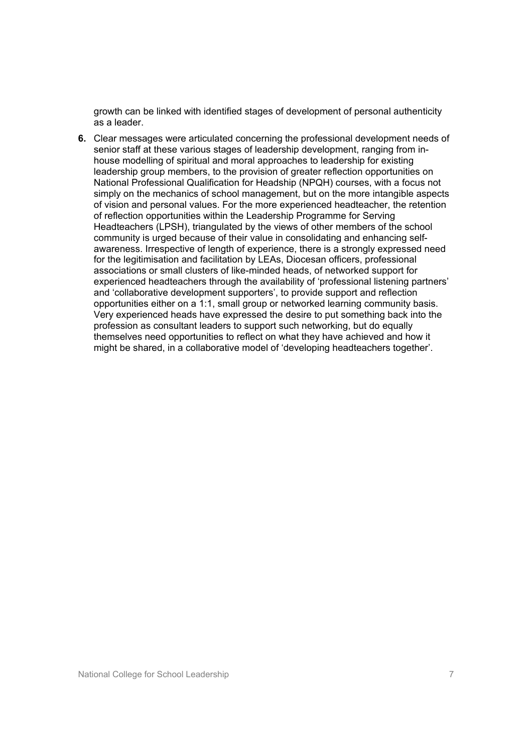growth can be linked with identified stages of development of personal authenticity as a leader.

**6.** Clear messages were articulated concerning the professional development needs of senior staff at these various stages of leadership development, ranging from inhouse modelling of spiritual and moral approaches to leadership for existing leadership group members, to the provision of greater reflection opportunities on National Professional Qualification for Headship (NPQH) courses, with a focus not simply on the mechanics of school management, but on the more intangible aspects of vision and personal values. For the more experienced headteacher, the retention of reflection opportunities within the Leadership Programme for Serving Headteachers (LPSH), triangulated by the views of other members of the school community is urged because of their value in consolidating and enhancing selfawareness. Irrespective of length of experience, there is a strongly expressed need for the legitimisation and facilitation by LEAs, Diocesan officers, professional associations or small clusters of like-minded heads, of networked support for experienced headteachers through the availability of 'professional listening partners' and 'collaborative development supporters', to provide support and reflection opportunities either on a 1:1, small group or networked learning community basis. Very experienced heads have expressed the desire to put something back into the profession as consultant leaders to support such networking, but do equally themselves need opportunities to reflect on what they have achieved and how it might be shared, in a collaborative model of 'developing headteachers together'.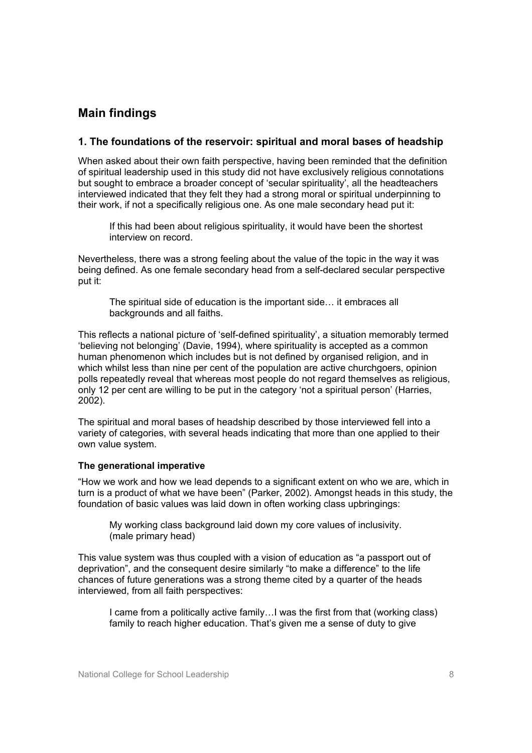## **Main findings**

#### **1. The foundations of the reservoir: spiritual and moral bases of headship**

When asked about their own faith perspective, having been reminded that the definition of spiritual leadership used in this study did not have exclusively religious connotations but sought to embrace a broader concept of 'secular spirituality', all the headteachers interviewed indicated that they felt they had a strong moral or spiritual underpinning to their work, if not a specifically religious one. As one male secondary head put it:

If this had been about religious spirituality, it would have been the shortest interview on record.

Nevertheless, there was a strong feeling about the value of the topic in the way it was being defined. As one female secondary head from a self-declared secular perspective put it:

The spiritual side of education is the important side… it embraces all backgrounds and all faiths.

This reflects a national picture of 'self-defined spirituality', a situation memorably termed 'believing not belonging' (Davie, 1994), where spirituality is accepted as a common human phenomenon which includes but is not defined by organised religion, and in which whilst less than nine per cent of the population are active churchgoers, opinion polls repeatedly reveal that whereas most people do not regard themselves as religious, only 12 per cent are willing to be put in the category 'not a spiritual person' (Harries, 2002).

The spiritual and moral bases of headship described by those interviewed fell into a variety of categories, with several heads indicating that more than one applied to their own value system.

#### **The generational imperative**

"How we work and how we lead depends to a significant extent on who we are, which in turn is a product of what we have been" (Parker, 2002). Amongst heads in this study, the foundation of basic values was laid down in often working class upbringings:

My working class background laid down my core values of inclusivity. (male primary head)

This value system was thus coupled with a vision of education as "a passport out of deprivation", and the consequent desire similarly "to make a difference" to the life chances of future generations was a strong theme cited by a quarter of the heads interviewed, from all faith perspectives:

I came from a politically active family…I was the first from that (working class) family to reach higher education. That's given me a sense of duty to give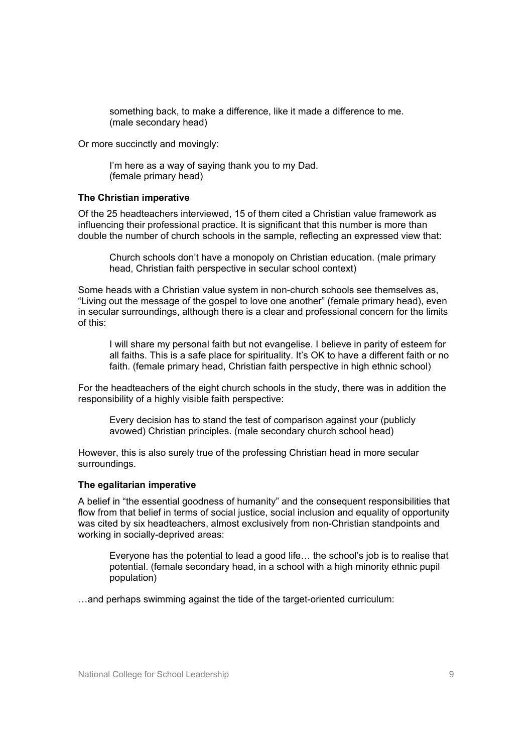something back, to make a difference, like it made a difference to me. (male secondary head)

Or more succinctly and movingly:

I'm here as a way of saying thank you to my Dad. (female primary head)

#### **The Christian imperative**

Of the 25 headteachers interviewed, 15 of them cited a Christian value framework as influencing their professional practice. It is significant that this number is more than double the number of church schools in the sample, reflecting an expressed view that:

Church schools don't have a monopoly on Christian education. (male primary head, Christian faith perspective in secular school context)

Some heads with a Christian value system in non-church schools see themselves as, "Living out the message of the gospel to love one another" (female primary head), even in secular surroundings, although there is a clear and professional concern for the limits of this:

I will share my personal faith but not evangelise. I believe in parity of esteem for all faiths. This is a safe place for spirituality. It's OK to have a different faith or no faith. (female primary head, Christian faith perspective in high ethnic school)

For the headteachers of the eight church schools in the study, there was in addition the responsibility of a highly visible faith perspective:

Every decision has to stand the test of comparison against your (publicly avowed) Christian principles. (male secondary church school head)

However, this is also surely true of the professing Christian head in more secular surroundings.

#### **The egalitarian imperative**

A belief in "the essential goodness of humanity" and the consequent responsibilities that flow from that belief in terms of social justice, social inclusion and equality of opportunity was cited by six headteachers, almost exclusively from non-Christian standpoints and working in socially-deprived areas:

Everyone has the potential to lead a good life… the school's job is to realise that potential. (female secondary head, in a school with a high minority ethnic pupil population)

…and perhaps swimming against the tide of the target-oriented curriculum: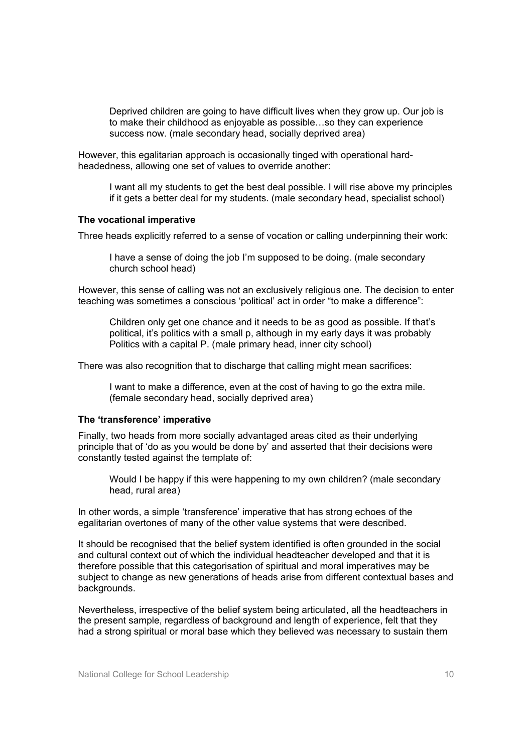Deprived children are going to have difficult lives when they grow up. Our job is to make their childhood as enjoyable as possible…so they can experience success now. (male secondary head, socially deprived area)

However, this egalitarian approach is occasionally tinged with operational hardheadedness, allowing one set of values to override another:

I want all my students to get the best deal possible. I will rise above my principles if it gets a better deal for my students. (male secondary head, specialist school)

#### **The vocational imperative**

Three heads explicitly referred to a sense of vocation or calling underpinning their work:

I have a sense of doing the job I'm supposed to be doing. (male secondary church school head)

However, this sense of calling was not an exclusively religious one. The decision to enter teaching was sometimes a conscious 'political' act in order "to make a difference":

Children only get one chance and it needs to be as good as possible. If that's political, it's politics with a small p, although in my early days it was probably Politics with a capital P. (male primary head, inner city school)

There was also recognition that to discharge that calling might mean sacrifices:

I want to make a difference, even at the cost of having to go the extra mile. (female secondary head, socially deprived area)

#### **The 'transference' imperative**

Finally, two heads from more socially advantaged areas cited as their underlying principle that of 'do as you would be done by' and asserted that their decisions were constantly tested against the template of:

Would I be happy if this were happening to my own children? (male secondary head, rural area)

In other words, a simple 'transference' imperative that has strong echoes of the egalitarian overtones of many of the other value systems that were described.

It should be recognised that the belief system identified is often grounded in the social and cultural context out of which the individual headteacher developed and that it is therefore possible that this categorisation of spiritual and moral imperatives may be subject to change as new generations of heads arise from different contextual bases and backgrounds.

Nevertheless, irrespective of the belief system being articulated, all the headteachers in the present sample, regardless of background and length of experience, felt that they had a strong spiritual or moral base which they believed was necessary to sustain them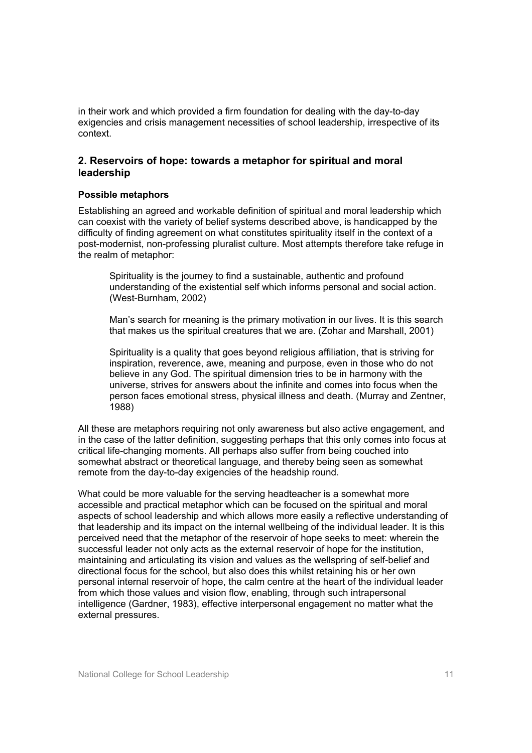in their work and which provided a firm foundation for dealing with the day-to-day exigencies and crisis management necessities of school leadership, irrespective of its context.

#### **2. Reservoirs of hope: towards a metaphor for spiritual and moral leadership**

#### **Possible metaphors**

Establishing an agreed and workable definition of spiritual and moral leadership which can coexist with the variety of belief systems described above, is handicapped by the difficulty of finding agreement on what constitutes spirituality itself in the context of a post-modernist, non-professing pluralist culture. Most attempts therefore take refuge in the realm of metaphor:

Spirituality is the journey to find a sustainable, authentic and profound understanding of the existential self which informs personal and social action. (West-Burnham, 2002)

Man's search for meaning is the primary motivation in our lives. It is this search that makes us the spiritual creatures that we are. (Zohar and Marshall, 2001)

Spirituality is a quality that goes beyond religious affiliation, that is striving for inspiration, reverence, awe, meaning and purpose, even in those who do not believe in any God. The spiritual dimension tries to be in harmony with the universe, strives for answers about the infinite and comes into focus when the person faces emotional stress, physical illness and death. (Murray and Zentner, 1988)

All these are metaphors requiring not only awareness but also active engagement, and in the case of the latter definition, suggesting perhaps that this only comes into focus at critical life-changing moments. All perhaps also suffer from being couched into somewhat abstract or theoretical language, and thereby being seen as somewhat remote from the day-to-day exigencies of the headship round.

What could be more valuable for the serving headteacher is a somewhat more accessible and practical metaphor which can be focused on the spiritual and moral aspects of school leadership and which allows more easily a reflective understanding of that leadership and its impact on the internal wellbeing of the individual leader. It is this perceived need that the metaphor of the reservoir of hope seeks to meet: wherein the successful leader not only acts as the external reservoir of hope for the institution, maintaining and articulating its vision and values as the wellspring of self-belief and directional focus for the school, but also does this whilst retaining his or her own personal internal reservoir of hope, the calm centre at the heart of the individual leader from which those values and vision flow, enabling, through such intrapersonal intelligence (Gardner, 1983), effective interpersonal engagement no matter what the external pressures.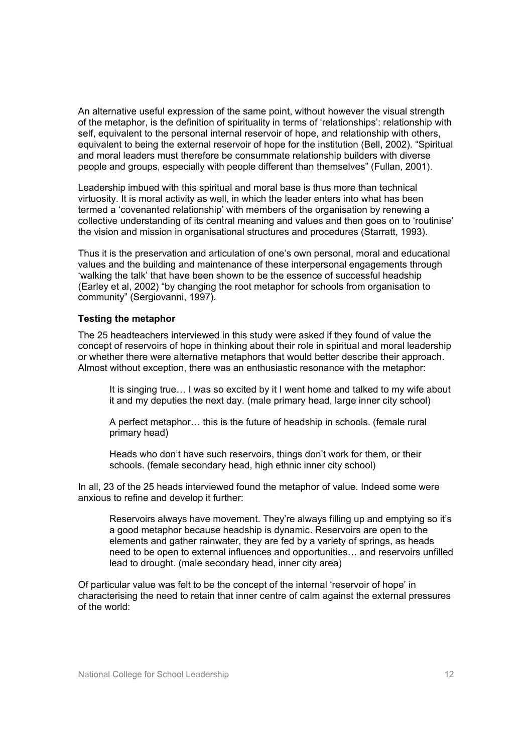An alternative useful expression of the same point, without however the visual strength of the metaphor, is the definition of spirituality in terms of 'relationships': relationship with self, equivalent to the personal internal reservoir of hope, and relationship with others, equivalent to being the external reservoir of hope for the institution (Bell, 2002). "Spiritual and moral leaders must therefore be consummate relationship builders with diverse people and groups, especially with people different than themselves" (Fullan, 2001).

Leadership imbued with this spiritual and moral base is thus more than technical virtuosity. It is moral activity as well, in which the leader enters into what has been termed a 'covenanted relationship' with members of the organisation by renewing a collective understanding of its central meaning and values and then goes on to 'routinise' the vision and mission in organisational structures and procedures (Starratt, 1993).

Thus it is the preservation and articulation of one's own personal, moral and educational values and the building and maintenance of these interpersonal engagements through 'walking the talk' that have been shown to be the essence of successful headship (Earley et al, 2002) "by changing the root metaphor for schools from organisation to community" (Sergiovanni, 1997).

#### **Testing the metaphor**

The 25 headteachers interviewed in this study were asked if they found of value the concept of reservoirs of hope in thinking about their role in spiritual and moral leadership or whether there were alternative metaphors that would better describe their approach. Almost without exception, there was an enthusiastic resonance with the metaphor:

It is singing true… I was so excited by it I went home and talked to my wife about it and my deputies the next day. (male primary head, large inner city school)

A perfect metaphor… this is the future of headship in schools. (female rural primary head)

Heads who don't have such reservoirs, things don't work for them, or their schools. (female secondary head, high ethnic inner city school)

In all, 23 of the 25 heads interviewed found the metaphor of value. Indeed some were anxious to refine and develop it further:

Reservoirs always have movement. They're always filling up and emptying so it's a good metaphor because headship is dynamic. Reservoirs are open to the elements and gather rainwater, they are fed by a variety of springs, as heads need to be open to external influences and opportunities… and reservoirs unfilled lead to drought. (male secondary head, inner city area)

Of particular value was felt to be the concept of the internal 'reservoir of hope' in characterising the need to retain that inner centre of calm against the external pressures of the world: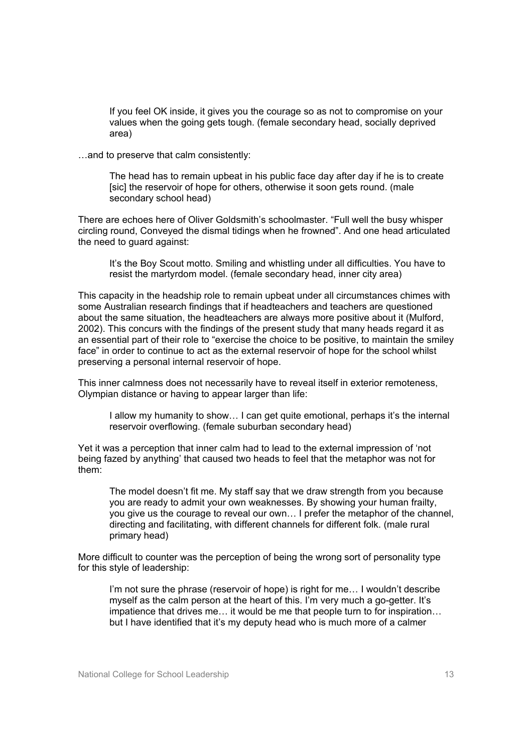If you feel OK inside, it gives you the courage so as not to compromise on your values when the going gets tough. (female secondary head, socially deprived area)

…and to preserve that calm consistently:

The head has to remain upbeat in his public face day after day if he is to create [sic] the reservoir of hope for others, otherwise it soon gets round. (male secondary school head)

There are echoes here of Oliver Goldsmith's schoolmaster. "Full well the busy whisper circling round, Conveyed the dismal tidings when he frowned". And one head articulated the need to guard against:

It's the Boy Scout motto. Smiling and whistling under all difficulties. You have to resist the martyrdom model. (female secondary head, inner city area)

This capacity in the headship role to remain upbeat under all circumstances chimes with some Australian research findings that if headteachers and teachers are questioned about the same situation, the headteachers are always more positive about it (Mulford, 2002). This concurs with the findings of the present study that many heads regard it as an essential part of their role to "exercise the choice to be positive, to maintain the smiley face" in order to continue to act as the external reservoir of hope for the school whilst preserving a personal internal reservoir of hope.

This inner calmness does not necessarily have to reveal itself in exterior remoteness, Olympian distance or having to appear larger than life:

I allow my humanity to show… I can get quite emotional, perhaps it's the internal reservoir overflowing. (female suburban secondary head)

Yet it was a perception that inner calm had to lead to the external impression of 'not being fazed by anything' that caused two heads to feel that the metaphor was not for them:

The model doesn't fit me. My staff say that we draw strength from you because you are ready to admit your own weaknesses. By showing your human frailty, you give us the courage to reveal our own… I prefer the metaphor of the channel, directing and facilitating, with different channels for different folk. (male rural primary head)

More difficult to counter was the perception of being the wrong sort of personality type for this style of leadership:

I'm not sure the phrase (reservoir of hope) is right for me… I wouldn't describe myself as the calm person at the heart of this. I'm very much a go-getter. It's impatience that drives me… it would be me that people turn to for inspiration… but I have identified that it's my deputy head who is much more of a calmer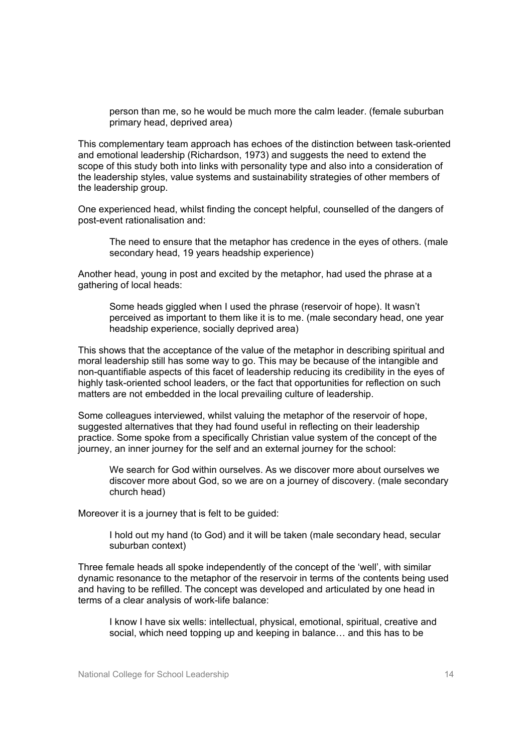person than me, so he would be much more the calm leader. (female suburban primary head, deprived area)

This complementary team approach has echoes of the distinction between task-oriented and emotional leadership (Richardson, 1973) and suggests the need to extend the scope of this study both into links with personality type and also into a consideration of the leadership styles, value systems and sustainability strategies of other members of the leadership group.

One experienced head, whilst finding the concept helpful, counselled of the dangers of post-event rationalisation and:

The need to ensure that the metaphor has credence in the eyes of others. (male secondary head, 19 years headship experience)

Another head, young in post and excited by the metaphor, had used the phrase at a gathering of local heads:

Some heads giggled when I used the phrase (reservoir of hope). It wasn't perceived as important to them like it is to me. (male secondary head, one year headship experience, socially deprived area)

This shows that the acceptance of the value of the metaphor in describing spiritual and moral leadership still has some way to go. This may be because of the intangible and non-quantifiable aspects of this facet of leadership reducing its credibility in the eyes of highly task-oriented school leaders, or the fact that opportunities for reflection on such matters are not embedded in the local prevailing culture of leadership.

Some colleagues interviewed, whilst valuing the metaphor of the reservoir of hope, suggested alternatives that they had found useful in reflecting on their leadership practice. Some spoke from a specifically Christian value system of the concept of the journey, an inner journey for the self and an external journey for the school:

We search for God within ourselves. As we discover more about ourselves we discover more about God, so we are on a journey of discovery. (male secondary church head)

Moreover it is a journey that is felt to be guided:

I hold out my hand (to God) and it will be taken (male secondary head, secular suburban context)

Three female heads all spoke independently of the concept of the 'well', with similar dynamic resonance to the metaphor of the reservoir in terms of the contents being used and having to be refilled. The concept was developed and articulated by one head in terms of a clear analysis of work-life balance:

I know I have six wells: intellectual, physical, emotional, spiritual, creative and social, which need topping up and keeping in balance… and this has to be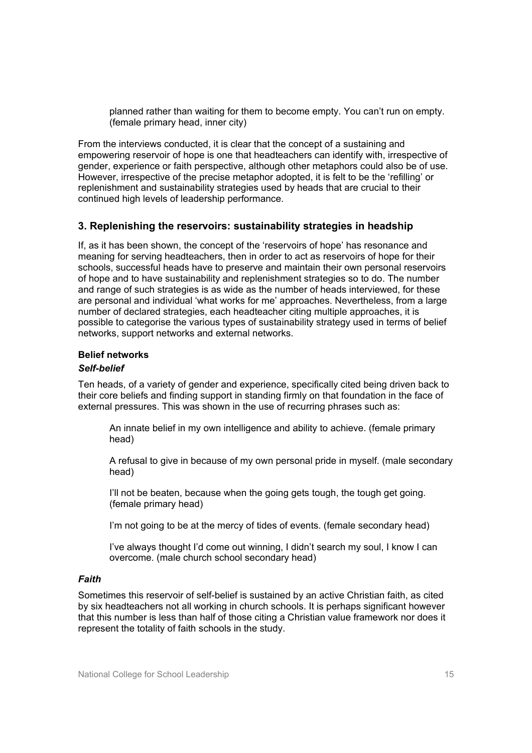planned rather than waiting for them to become empty. You can't run on empty. (female primary head, inner city)

From the interviews conducted, it is clear that the concept of a sustaining and empowering reservoir of hope is one that headteachers can identify with, irrespective of gender, experience or faith perspective, although other metaphors could also be of use. However, irrespective of the precise metaphor adopted, it is felt to be the 'refilling' or replenishment and sustainability strategies used by heads that are crucial to their continued high levels of leadership performance.

#### **3. Replenishing the reservoirs: sustainability strategies in headship**

If, as it has been shown, the concept of the 'reservoirs of hope' has resonance and meaning for serving headteachers, then in order to act as reservoirs of hope for their schools, successful heads have to preserve and maintain their own personal reservoirs of hope and to have sustainability and replenishment strategies so to do. The number and range of such strategies is as wide as the number of heads interviewed, for these are personal and individual 'what works for me' approaches. Nevertheless, from a large number of declared strategies, each headteacher citing multiple approaches, it is possible to categorise the various types of sustainability strategy used in terms of belief networks, support networks and external networks.

#### **Belief networks**

#### *Self-belief*

Ten heads, of a variety of gender and experience, specifically cited being driven back to their core beliefs and finding support in standing firmly on that foundation in the face of external pressures. This was shown in the use of recurring phrases such as:

An innate belief in my own intelligence and ability to achieve. (female primary head)

A refusal to give in because of my own personal pride in myself. (male secondary head)

I'll not be beaten, because when the going gets tough, the tough get going. (female primary head)

I'm not going to be at the mercy of tides of events. (female secondary head)

I've always thought I'd come out winning, I didn't search my soul, I know I can overcome. (male church school secondary head)

#### *Faith*

Sometimes this reservoir of self-belief is sustained by an active Christian faith, as cited by six headteachers not all working in church schools. It is perhaps significant however that this number is less than half of those citing a Christian value framework nor does it represent the totality of faith schools in the study.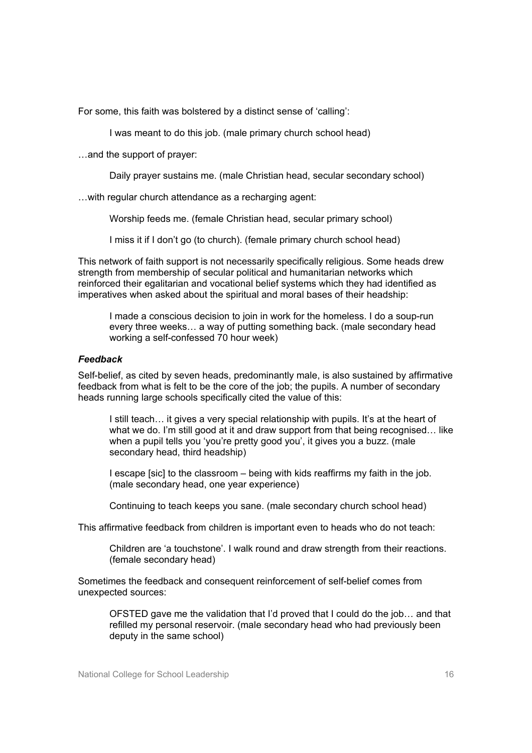For some, this faith was bolstered by a distinct sense of 'calling':

I was meant to do this job. (male primary church school head)

…and the support of prayer:

Daily prayer sustains me. (male Christian head, secular secondary school)

…with regular church attendance as a recharging agent:

Worship feeds me. (female Christian head, secular primary school)

I miss it if I don't go (to church). (female primary church school head)

This network of faith support is not necessarily specifically religious. Some heads drew strength from membership of secular political and humanitarian networks which reinforced their egalitarian and vocational belief systems which they had identified as imperatives when asked about the spiritual and moral bases of their headship:

I made a conscious decision to join in work for the homeless. I do a soup-run every three weeks… a way of putting something back. (male secondary head working a self-confessed 70 hour week)

#### *Feedback*

Self-belief, as cited by seven heads, predominantly male, is also sustained by affirmative feedback from what is felt to be the core of the job; the pupils. A number of secondary heads running large schools specifically cited the value of this:

I still teach… it gives a very special relationship with pupils. It's at the heart of what we do. I'm still good at it and draw support from that being recognised... like when a pupil tells you 'you're pretty good you', it gives you a buzz. (male secondary head, third headship)

I escape [sic] to the classroom – being with kids reaffirms my faith in the job. (male secondary head, one year experience)

Continuing to teach keeps you sane. (male secondary church school head)

This affirmative feedback from children is important even to heads who do not teach:

Children are 'a touchstone'. I walk round and draw strength from their reactions. (female secondary head)

Sometimes the feedback and consequent reinforcement of self-belief comes from unexpected sources:

OFSTED gave me the validation that I'd proved that I could do the job… and that refilled my personal reservoir. (male secondary head who had previously been deputy in the same school)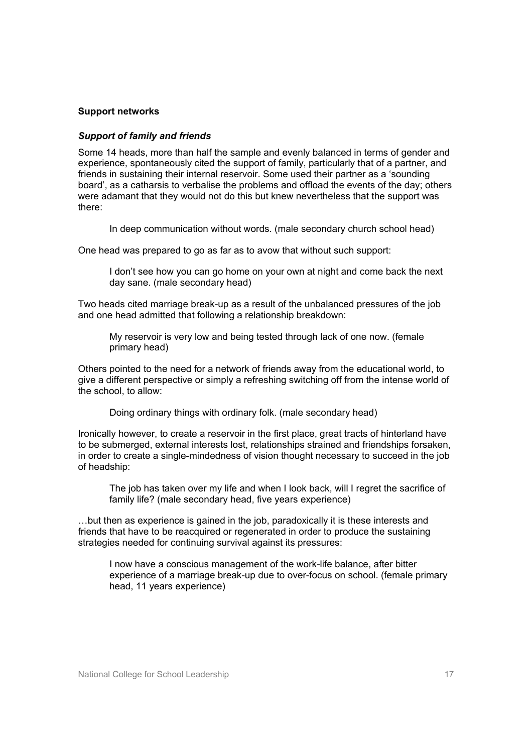#### **Support networks**

#### *Support of family and friends*

Some 14 heads, more than half the sample and evenly balanced in terms of gender and experience, spontaneously cited the support of family, particularly that of a partner, and friends in sustaining their internal reservoir. Some used their partner as a 'sounding board', as a catharsis to verbalise the problems and offload the events of the day; others were adamant that they would not do this but knew nevertheless that the support was there:

In deep communication without words. (male secondary church school head)

One head was prepared to go as far as to avow that without such support:

I don't see how you can go home on your own at night and come back the next day sane. (male secondary head)

Two heads cited marriage break-up as a result of the unbalanced pressures of the job and one head admitted that following a relationship breakdown:

My reservoir is very low and being tested through lack of one now. (female primary head)

Others pointed to the need for a network of friends away from the educational world, to give a different perspective or simply a refreshing switching off from the intense world of the school, to allow:

Doing ordinary things with ordinary folk. (male secondary head)

Ironically however, to create a reservoir in the first place, great tracts of hinterland have to be submerged, external interests lost, relationships strained and friendships forsaken, in order to create a single-mindedness of vision thought necessary to succeed in the job of headship:

The job has taken over my life and when I look back, will I regret the sacrifice of family life? (male secondary head, five years experience)

…but then as experience is gained in the job, paradoxically it is these interests and friends that have to be reacquired or regenerated in order to produce the sustaining strategies needed for continuing survival against its pressures:

I now have a conscious management of the work-life balance, after bitter experience of a marriage break-up due to over-focus on school. (female primary head, 11 years experience)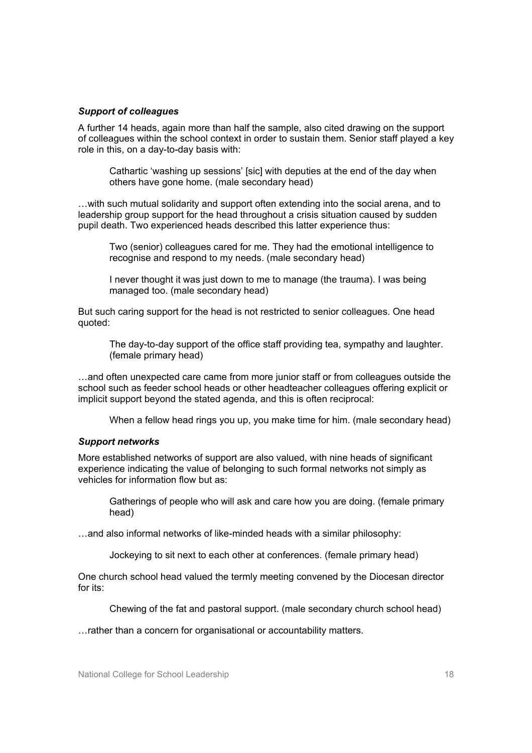#### *Support of colleagues*

A further 14 heads, again more than half the sample, also cited drawing on the support of colleagues within the school context in order to sustain them. Senior staff played a key role in this, on a day-to-day basis with:

Cathartic 'washing up sessions' [sic] with deputies at the end of the day when others have gone home. (male secondary head)

…with such mutual solidarity and support often extending into the social arena, and to leadership group support for the head throughout a crisis situation caused by sudden pupil death. Two experienced heads described this latter experience thus:

Two (senior) colleagues cared for me. They had the emotional intelligence to recognise and respond to my needs. (male secondary head)

I never thought it was just down to me to manage (the trauma). I was being managed too. (male secondary head)

But such caring support for the head is not restricted to senior colleagues. One head quoted:

The day-to-day support of the office staff providing tea, sympathy and laughter. (female primary head)

…and often unexpected care came from more junior staff or from colleagues outside the school such as feeder school heads or other headteacher colleagues offering explicit or implicit support beyond the stated agenda, and this is often reciprocal:

When a fellow head rings you up, you make time for him. (male secondary head)

#### *Support networks*

More established networks of support are also valued, with nine heads of significant experience indicating the value of belonging to such formal networks not simply as vehicles for information flow but as:

Gatherings of people who will ask and care how you are doing. (female primary head)

…and also informal networks of like-minded heads with a similar philosophy:

Jockeying to sit next to each other at conferences. (female primary head)

One church school head valued the termly meeting convened by the Diocesan director for its:

Chewing of the fat and pastoral support. (male secondary church school head)

…rather than a concern for organisational or accountability matters.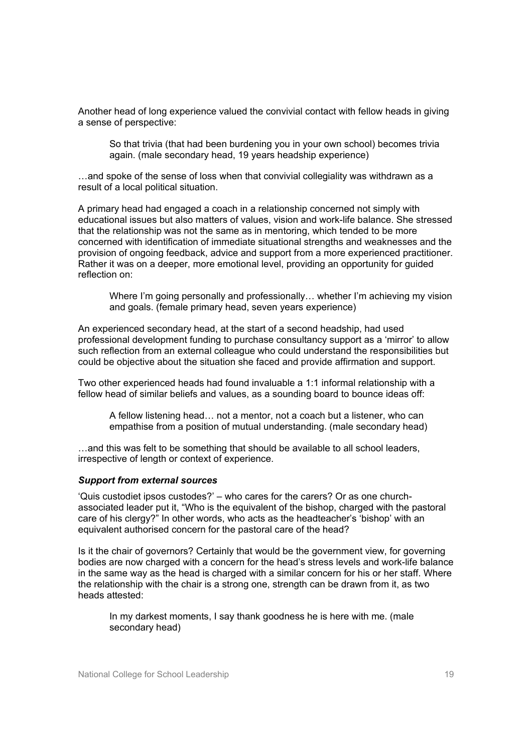Another head of long experience valued the convivial contact with fellow heads in giving a sense of perspective:

So that trivia (that had been burdening you in your own school) becomes trivia again. (male secondary head, 19 years headship experience)

…and spoke of the sense of loss when that convivial collegiality was withdrawn as a result of a local political situation.

A primary head had engaged a coach in a relationship concerned not simply with educational issues but also matters of values, vision and work-life balance. She stressed that the relationship was not the same as in mentoring, which tended to be more concerned with identification of immediate situational strengths and weaknesses and the provision of ongoing feedback, advice and support from a more experienced practitioner. Rather it was on a deeper, more emotional level, providing an opportunity for guided reflection on:

Where I'm going personally and professionally… whether I'm achieving my vision and goals. (female primary head, seven years experience)

An experienced secondary head, at the start of a second headship, had used professional development funding to purchase consultancy support as a 'mirror' to allow such reflection from an external colleague who could understand the responsibilities but could be objective about the situation she faced and provide affirmation and support.

Two other experienced heads had found invaluable a 1:1 informal relationship with a fellow head of similar beliefs and values, as a sounding board to bounce ideas off:

A fellow listening head… not a mentor, not a coach but a listener, who can empathise from a position of mutual understanding. (male secondary head)

…and this was felt to be something that should be available to all school leaders, irrespective of length or context of experience.

#### *Support from external sources*

'Quis custodiet ipsos custodes?' – who cares for the carers? Or as one churchassociated leader put it, "Who is the equivalent of the bishop, charged with the pastoral care of his clergy?" In other words, who acts as the headteacher's 'bishop' with an equivalent authorised concern for the pastoral care of the head?

Is it the chair of governors? Certainly that would be the government view, for governing bodies are now charged with a concern for the head's stress levels and work-life balance in the same way as the head is charged with a similar concern for his or her staff. Where the relationship with the chair is a strong one, strength can be drawn from it, as two heads attested:

In my darkest moments, I say thank goodness he is here with me. (male secondary head)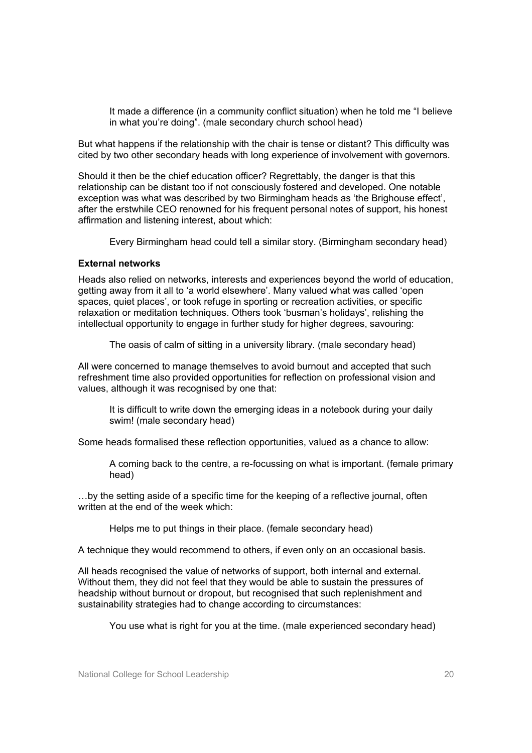It made a difference (in a community conflict situation) when he told me "I believe in what you're doing". (male secondary church school head)

But what happens if the relationship with the chair is tense or distant? This difficulty was cited by two other secondary heads with long experience of involvement with governors.

Should it then be the chief education officer? Regrettably, the danger is that this relationship can be distant too if not consciously fostered and developed. One notable exception was what was described by two Birmingham heads as 'the Brighouse effect', after the erstwhile CEO renowned for his frequent personal notes of support, his honest affirmation and listening interest, about which:

Every Birmingham head could tell a similar story. (Birmingham secondary head)

#### **External networks**

Heads also relied on networks, interests and experiences beyond the world of education, getting away from it all to 'a world elsewhere'. Many valued what was called 'open spaces, quiet places', or took refuge in sporting or recreation activities, or specific relaxation or meditation techniques. Others took 'busman's holidays', relishing the intellectual opportunity to engage in further study for higher degrees, savouring:

The oasis of calm of sitting in a university library. (male secondary head)

All were concerned to manage themselves to avoid burnout and accepted that such refreshment time also provided opportunities for reflection on professional vision and values, although it was recognised by one that:

It is difficult to write down the emerging ideas in a notebook during your daily swim! (male secondary head)

Some heads formalised these reflection opportunities, valued as a chance to allow:

A coming back to the centre, a re-focussing on what is important. (female primary head)

…by the setting aside of a specific time for the keeping of a reflective journal, often written at the end of the week which:

Helps me to put things in their place. (female secondary head)

A technique they would recommend to others, if even only on an occasional basis.

All heads recognised the value of networks of support, both internal and external. Without them, they did not feel that they would be able to sustain the pressures of headship without burnout or dropout, but recognised that such replenishment and sustainability strategies had to change according to circumstances:

You use what is right for you at the time. (male experienced secondary head)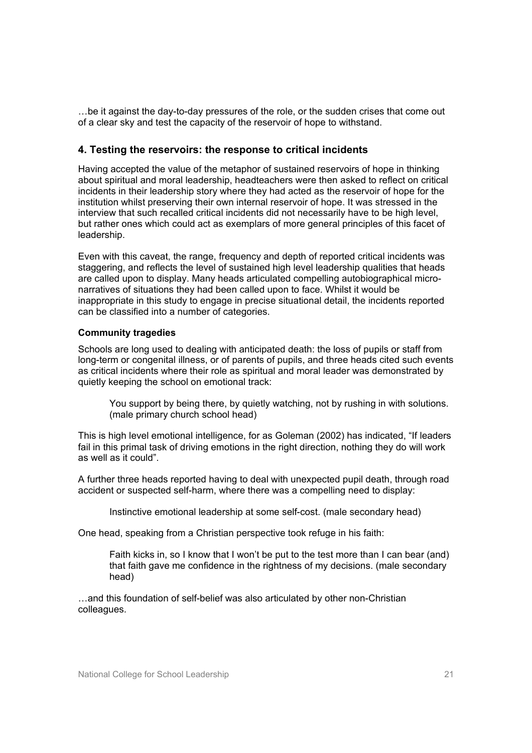…be it against the day-to-day pressures of the role, or the sudden crises that come out of a clear sky and test the capacity of the reservoir of hope to withstand.

#### **4. Testing the reservoirs: the response to critical incidents**

Having accepted the value of the metaphor of sustained reservoirs of hope in thinking about spiritual and moral leadership, headteachers were then asked to reflect on critical incidents in their leadership story where they had acted as the reservoir of hope for the institution whilst preserving their own internal reservoir of hope. It was stressed in the interview that such recalled critical incidents did not necessarily have to be high level, but rather ones which could act as exemplars of more general principles of this facet of leadership.

Even with this caveat, the range, frequency and depth of reported critical incidents was staggering, and reflects the level of sustained high level leadership qualities that heads are called upon to display. Many heads articulated compelling autobiographical micronarratives of situations they had been called upon to face. Whilst it would be inappropriate in this study to engage in precise situational detail, the incidents reported can be classified into a number of categories.

#### **Community tragedies**

Schools are long used to dealing with anticipated death: the loss of pupils or staff from long-term or congenital illness, or of parents of pupils, and three heads cited such events as critical incidents where their role as spiritual and moral leader was demonstrated by quietly keeping the school on emotional track:

You support by being there, by quietly watching, not by rushing in with solutions. (male primary church school head)

This is high level emotional intelligence, for as Goleman (2002) has indicated, "If leaders fail in this primal task of driving emotions in the right direction, nothing they do will work as well as it could".

A further three heads reported having to deal with unexpected pupil death, through road accident or suspected self-harm, where there was a compelling need to display:

Instinctive emotional leadership at some self-cost. (male secondary head)

One head, speaking from a Christian perspective took refuge in his faith:

Faith kicks in, so I know that I won't be put to the test more than I can bear (and) that faith gave me confidence in the rightness of my decisions. (male secondary head)

…and this foundation of self-belief was also articulated by other non-Christian colleagues.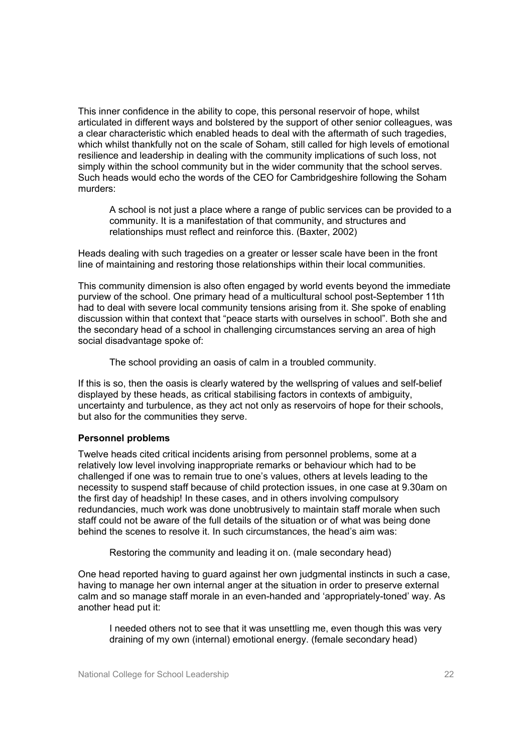This inner confidence in the ability to cope, this personal reservoir of hope, whilst articulated in different ways and bolstered by the support of other senior colleagues, was a clear characteristic which enabled heads to deal with the aftermath of such tragedies, which whilst thankfully not on the scale of Soham, still called for high levels of emotional resilience and leadership in dealing with the community implications of such loss, not simply within the school community but in the wider community that the school serves. Such heads would echo the words of the CEO for Cambridgeshire following the Soham murders:

A school is not just a place where a range of public services can be provided to a community. It is a manifestation of that community, and structures and relationships must reflect and reinforce this. (Baxter, 2002)

Heads dealing with such tragedies on a greater or lesser scale have been in the front line of maintaining and restoring those relationships within their local communities.

This community dimension is also often engaged by world events beyond the immediate purview of the school. One primary head of a multicultural school post-September 11th had to deal with severe local community tensions arising from it. She spoke of enabling discussion within that context that "peace starts with ourselves in school". Both she and the secondary head of a school in challenging circumstances serving an area of high social disadvantage spoke of:

The school providing an oasis of calm in a troubled community.

If this is so, then the oasis is clearly watered by the wellspring of values and self-belief displayed by these heads, as critical stabilising factors in contexts of ambiguity, uncertainty and turbulence, as they act not only as reservoirs of hope for their schools, but also for the communities they serve.

#### **Personnel problems**

Twelve heads cited critical incidents arising from personnel problems, some at a relatively low level involving inappropriate remarks or behaviour which had to be challenged if one was to remain true to one's values, others at levels leading to the necessity to suspend staff because of child protection issues, in one case at 9.30am on the first day of headship! In these cases, and in others involving compulsory redundancies, much work was done unobtrusively to maintain staff morale when such staff could not be aware of the full details of the situation or of what was being done behind the scenes to resolve it. In such circumstances, the head's aim was:

Restoring the community and leading it on. (male secondary head)

One head reported having to guard against her own judgmental instincts in such a case, having to manage her own internal anger at the situation in order to preserve external calm and so manage staff morale in an even-handed and 'appropriately-toned' way. As another head put it:

I needed others not to see that it was unsettling me, even though this was very draining of my own (internal) emotional energy. (female secondary head)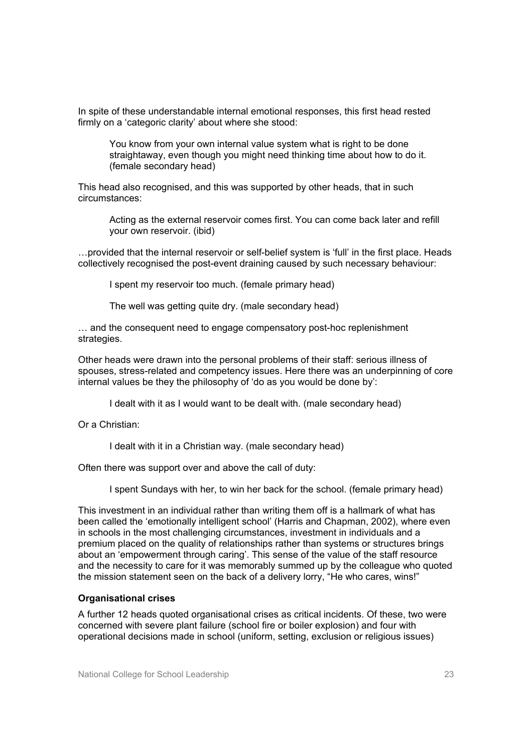In spite of these understandable internal emotional responses, this first head rested firmly on a 'categoric clarity' about where she stood:

You know from your own internal value system what is right to be done straightaway, even though you might need thinking time about how to do it. (female secondary head)

This head also recognised, and this was supported by other heads, that in such circumstances:

Acting as the external reservoir comes first. You can come back later and refill your own reservoir. (ibid)

…provided that the internal reservoir or self-belief system is 'full' in the first place. Heads collectively recognised the post-event draining caused by such necessary behaviour:

I spent my reservoir too much. (female primary head)

The well was getting quite dry. (male secondary head)

… and the consequent need to engage compensatory post-hoc replenishment strategies.

Other heads were drawn into the personal problems of their staff: serious illness of spouses, stress-related and competency issues. Here there was an underpinning of core internal values be they the philosophy of 'do as you would be done by':

I dealt with it as I would want to be dealt with. (male secondary head)

Or a Christian:

I dealt with it in a Christian way. (male secondary head)

Often there was support over and above the call of duty:

I spent Sundays with her, to win her back for the school. (female primary head)

This investment in an individual rather than writing them off is a hallmark of what has been called the 'emotionally intelligent school' (Harris and Chapman, 2002), where even in schools in the most challenging circumstances, investment in individuals and a premium placed on the quality of relationships rather than systems or structures brings about an 'empowerment through caring'. This sense of the value of the staff resource and the necessity to care for it was memorably summed up by the colleague who quoted the mission statement seen on the back of a delivery lorry, "He who cares, wins!"

#### **Organisational crises**

A further 12 heads quoted organisational crises as critical incidents. Of these, two were concerned with severe plant failure (school fire or boiler explosion) and four with operational decisions made in school (uniform, setting, exclusion or religious issues)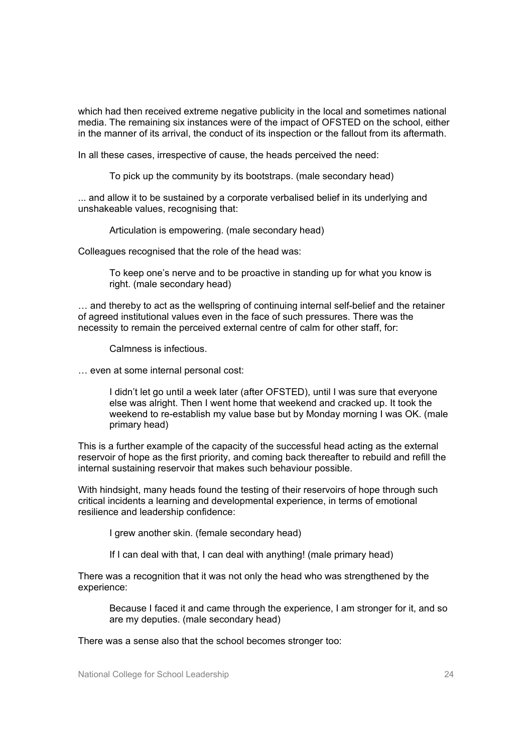which had then received extreme negative publicity in the local and sometimes national media. The remaining six instances were of the impact of OFSTED on the school, either in the manner of its arrival, the conduct of its inspection or the fallout from its aftermath.

In all these cases, irrespective of cause, the heads perceived the need:

To pick up the community by its bootstraps. (male secondary head)

... and allow it to be sustained by a corporate verbalised belief in its underlying and unshakeable values, recognising that:

Articulation is empowering. (male secondary head)

Colleagues recognised that the role of the head was:

To keep one's nerve and to be proactive in standing up for what you know is right. (male secondary head)

… and thereby to act as the wellspring of continuing internal self-belief and the retainer of agreed institutional values even in the face of such pressures. There was the necessity to remain the perceived external centre of calm for other staff, for:

Calmness is infectious.

… even at some internal personal cost:

I didn't let go until a week later (after OFSTED), until I was sure that everyone else was alright. Then I went home that weekend and cracked up. It took the weekend to re-establish my value base but by Monday morning I was OK. (male primary head)

This is a further example of the capacity of the successful head acting as the external reservoir of hope as the first priority, and coming back thereafter to rebuild and refill the internal sustaining reservoir that makes such behaviour possible.

With hindsight, many heads found the testing of their reservoirs of hope through such critical incidents a learning and developmental experience, in terms of emotional resilience and leadership confidence:

I grew another skin. (female secondary head)

If I can deal with that, I can deal with anything! (male primary head)

There was a recognition that it was not only the head who was strengthened by the experience:

Because I faced it and came through the experience, I am stronger for it, and so are my deputies. (male secondary head)

There was a sense also that the school becomes stronger too: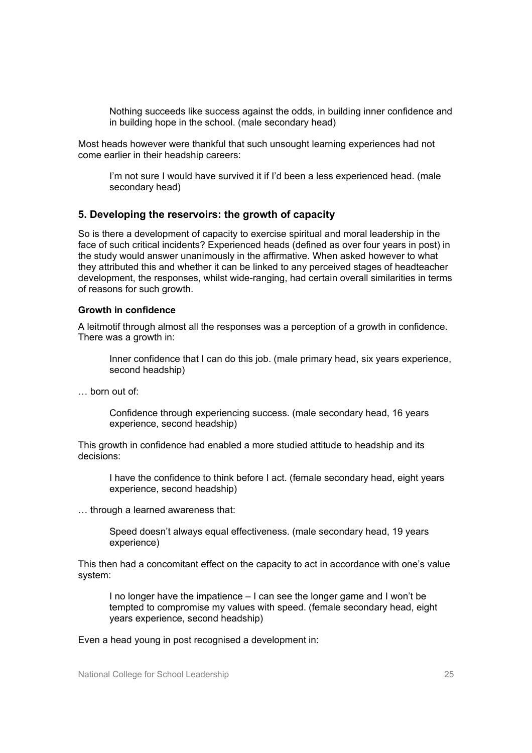Nothing succeeds like success against the odds, in building inner confidence and in building hope in the school. (male secondary head)

Most heads however were thankful that such unsought learning experiences had not come earlier in their headship careers:

I'm not sure I would have survived it if I'd been a less experienced head. (male secondary head)

#### **5. Developing the reservoirs: the growth of capacity**

So is there a development of capacity to exercise spiritual and moral leadership in the face of such critical incidents? Experienced heads (defined as over four years in post) in the study would answer unanimously in the affirmative. When asked however to what they attributed this and whether it can be linked to any perceived stages of headteacher development, the responses, whilst wide-ranging, had certain overall similarities in terms of reasons for such growth.

#### **Growth in confidence**

A leitmotif through almost all the responses was a perception of a growth in confidence. There was a growth in:

Inner confidence that I can do this job. (male primary head, six years experience, second headship)

… born out of:

Confidence through experiencing success. (male secondary head, 16 years experience, second headship)

This growth in confidence had enabled a more studied attitude to headship and its decisions:

I have the confidence to think before I act. (female secondary head, eight years experience, second headship)

… through a learned awareness that:

Speed doesn't always equal effectiveness. (male secondary head, 19 years experience)

This then had a concomitant effect on the capacity to act in accordance with one's value system:

I no longer have the impatience – I can see the longer game and I won't be tempted to compromise my values with speed. (female secondary head, eight years experience, second headship)

Even a head young in post recognised a development in: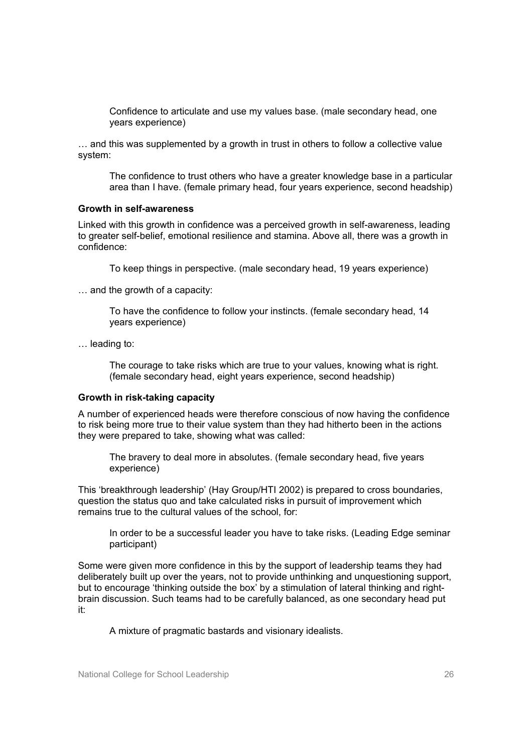Confidence to articulate and use my values base. (male secondary head, one years experience)

… and this was supplemented by a growth in trust in others to follow a collective value system:

The confidence to trust others who have a greater knowledge base in a particular area than I have. (female primary head, four years experience, second headship)

#### **Growth in self-awareness**

Linked with this growth in confidence was a perceived growth in self-awareness, leading to greater self-belief, emotional resilience and stamina. Above all, there was a growth in confidence:

To keep things in perspective. (male secondary head, 19 years experience)

… and the growth of a capacity:

To have the confidence to follow your instincts. (female secondary head, 14 years experience)

… leading to:

The courage to take risks which are true to your values, knowing what is right. (female secondary head, eight years experience, second headship)

#### **Growth in risk-taking capacity**

A number of experienced heads were therefore conscious of now having the confidence to risk being more true to their value system than they had hitherto been in the actions they were prepared to take, showing what was called:

The bravery to deal more in absolutes. (female secondary head, five years experience)

This 'breakthrough leadership' (Hay Group/HTI 2002) is prepared to cross boundaries, question the status quo and take calculated risks in pursuit of improvement which remains true to the cultural values of the school, for:

In order to be a successful leader you have to take risks. (Leading Edge seminar participant)

Some were given more confidence in this by the support of leadership teams they had deliberately built up over the years, not to provide unthinking and unquestioning support, but to encourage 'thinking outside the box' by a stimulation of lateral thinking and rightbrain discussion. Such teams had to be carefully balanced, as one secondary head put it:

A mixture of pragmatic bastards and visionary idealists.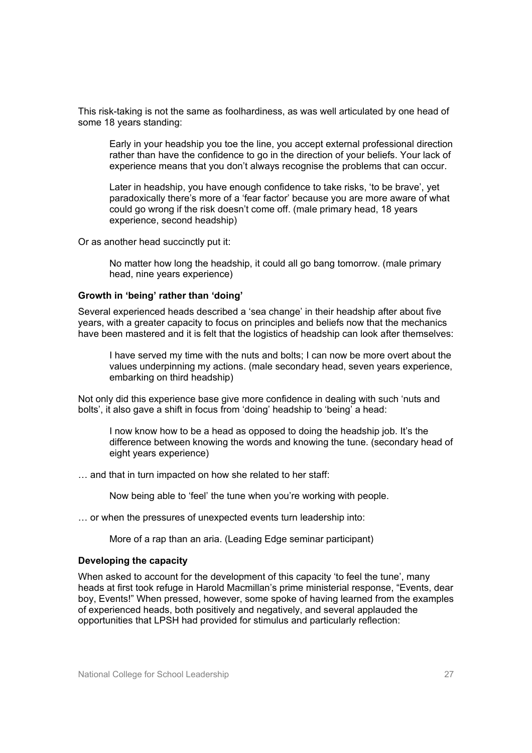This risk-taking is not the same as foolhardiness, as was well articulated by one head of some 18 years standing:

Early in your headship you toe the line, you accept external professional direction rather than have the confidence to go in the direction of your beliefs. Your lack of experience means that you don't always recognise the problems that can occur.

Later in headship, you have enough confidence to take risks, 'to be brave', yet paradoxically there's more of a 'fear factor' because you are more aware of what could go wrong if the risk doesn't come off. (male primary head, 18 years experience, second headship)

Or as another head succinctly put it:

No matter how long the headship, it could all go bang tomorrow. (male primary head, nine years experience)

#### **Growth in 'being' rather than 'doing'**

Several experienced heads described a 'sea change' in their headship after about five years, with a greater capacity to focus on principles and beliefs now that the mechanics have been mastered and it is felt that the logistics of headship can look after themselves:

I have served my time with the nuts and bolts; I can now be more overt about the values underpinning my actions. (male secondary head, seven years experience, embarking on third headship)

Not only did this experience base give more confidence in dealing with such 'nuts and bolts', it also gave a shift in focus from 'doing' headship to 'being' a head:

I now know how to be a head as opposed to doing the headship job. It's the difference between knowing the words and knowing the tune. (secondary head of eight years experience)

… and that in turn impacted on how she related to her staff:

Now being able to 'feel' the tune when you're working with people.

… or when the pressures of unexpected events turn leadership into:

More of a rap than an aria. (Leading Edge seminar participant)

#### **Developing the capacity**

When asked to account for the development of this capacity 'to feel the tune', many heads at first took refuge in Harold Macmillan's prime ministerial response, "Events, dear boy, Events!" When pressed, however, some spoke of having learned from the examples of experienced heads, both positively and negatively, and several applauded the opportunities that LPSH had provided for stimulus and particularly reflection: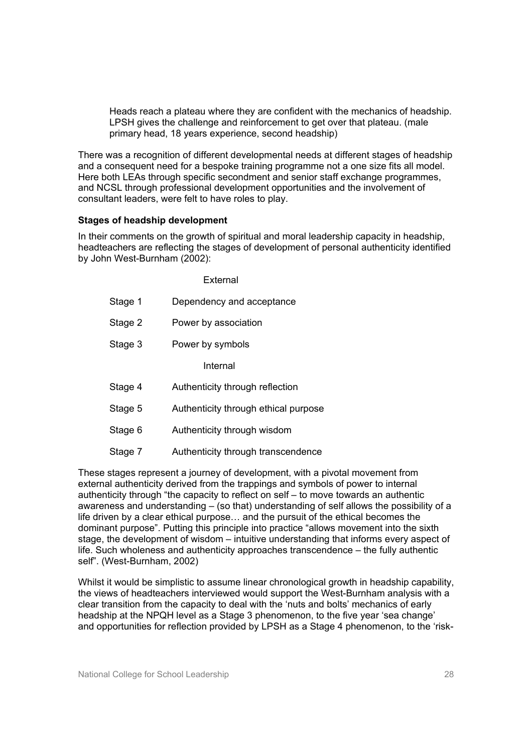Heads reach a plateau where they are confident with the mechanics of headship. LPSH gives the challenge and reinforcement to get over that plateau. (male primary head, 18 years experience, second headship)

There was a recognition of different developmental needs at different stages of headship and a consequent need for a bespoke training programme not a one size fits all model. Here both LEAs through specific secondment and senior staff exchange programmes, and NCSL through professional development opportunities and the involvement of consultant leaders, were felt to have roles to play.

#### **Stages of headship development**

In their comments on the growth of spiritual and moral leadership capacity in headship, headteachers are reflecting the stages of development of personal authenticity identified by John West-Burnham (2002):

|         | External                             |
|---------|--------------------------------------|
| Stage 1 | Dependency and acceptance            |
| Stage 2 | Power by association                 |
| Stage 3 | Power by symbols                     |
|         | Internal                             |
| Stage 4 | Authenticity through reflection      |
| Stage 5 | Authenticity through ethical purpose |
| Stage 6 | Authenticity through wisdom          |
| Stage 7 | Authenticity through transcendence   |

These stages represent a journey of development, with a pivotal movement from external authenticity derived from the trappings and symbols of power to internal authenticity through "the capacity to reflect on self – to move towards an authentic awareness and understanding – (so that) understanding of self allows the possibility of a life driven by a clear ethical purpose… and the pursuit of the ethical becomes the dominant purpose". Putting this principle into practice "allows movement into the sixth stage, the development of wisdom – intuitive understanding that informs every aspect of life. Such wholeness and authenticity approaches transcendence – the fully authentic self". (West-Burnham, 2002)

Whilst it would be simplistic to assume linear chronological growth in headship capability, the views of headteachers interviewed would support the West-Burnham analysis with a clear transition from the capacity to deal with the 'nuts and bolts' mechanics of early headship at the NPQH level as a Stage 3 phenomenon, to the five year 'sea change' and opportunities for reflection provided by LPSH as a Stage 4 phenomenon, to the 'risk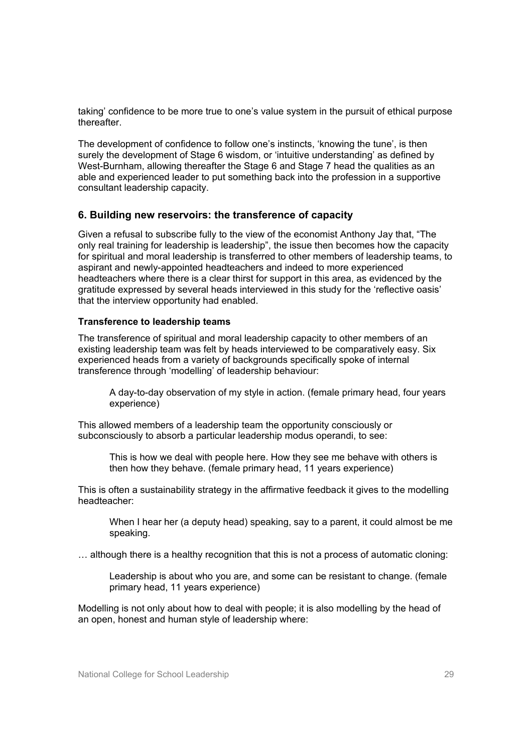taking' confidence to be more true to one's value system in the pursuit of ethical purpose thereafter.

The development of confidence to follow one's instincts, 'knowing the tune', is then surely the development of Stage 6 wisdom, or 'intuitive understanding' as defined by West-Burnham, allowing thereafter the Stage 6 and Stage 7 head the qualities as an able and experienced leader to put something back into the profession in a supportive consultant leadership capacity.

#### **6. Building new reservoirs: the transference of capacity**

Given a refusal to subscribe fully to the view of the economist Anthony Jay that, "The only real training for leadership is leadership", the issue then becomes how the capacity for spiritual and moral leadership is transferred to other members of leadership teams, to aspirant and newly-appointed headteachers and indeed to more experienced headteachers where there is a clear thirst for support in this area, as evidenced by the gratitude expressed by several heads interviewed in this study for the 'reflective oasis' that the interview opportunity had enabled.

#### **Transference to leadership teams**

The transference of spiritual and moral leadership capacity to other members of an existing leadership team was felt by heads interviewed to be comparatively easy. Six experienced heads from a variety of backgrounds specifically spoke of internal transference through 'modelling' of leadership behaviour:

A day-to-day observation of my style in action. (female primary head, four years experience)

This allowed members of a leadership team the opportunity consciously or subconsciously to absorb a particular leadership modus operandi, to see:

This is how we deal with people here. How they see me behave with others is then how they behave. (female primary head, 11 years experience)

This is often a sustainability strategy in the affirmative feedback it gives to the modelling headteacher:

When I hear her (a deputy head) speaking, say to a parent, it could almost be me speaking.

… although there is a healthy recognition that this is not a process of automatic cloning:

Leadership is about who you are, and some can be resistant to change. (female primary head, 11 years experience)

Modelling is not only about how to deal with people; it is also modelling by the head of an open, honest and human style of leadership where: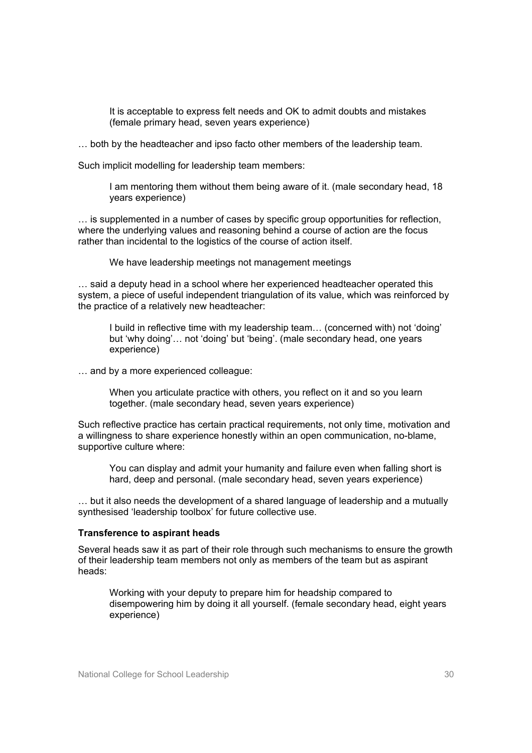It is acceptable to express felt needs and OK to admit doubts and mistakes (female primary head, seven years experience)

… both by the headteacher and ipso facto other members of the leadership team.

Such implicit modelling for leadership team members:

I am mentoring them without them being aware of it. (male secondary head, 18 years experience)

… is supplemented in a number of cases by specific group opportunities for reflection, where the underlying values and reasoning behind a course of action are the focus rather than incidental to the logistics of the course of action itself.

We have leadership meetings not management meetings

… said a deputy head in a school where her experienced headteacher operated this system, a piece of useful independent triangulation of its value, which was reinforced by the practice of a relatively new headteacher:

I build in reflective time with my leadership team… (concerned with) not 'doing' but 'why doing'… not 'doing' but 'being'. (male secondary head, one years experience)

… and by a more experienced colleague:

When you articulate practice with others, you reflect on it and so you learn together. (male secondary head, seven years experience)

Such reflective practice has certain practical requirements, not only time, motivation and a willingness to share experience honestly within an open communication, no-blame, supportive culture where:

You can display and admit your humanity and failure even when falling short is hard, deep and personal. (male secondary head, seven years experience)

… but it also needs the development of a shared language of leadership and a mutually synthesised 'leadership toolbox' for future collective use.

#### **Transference to aspirant heads**

Several heads saw it as part of their role through such mechanisms to ensure the growth of their leadership team members not only as members of the team but as aspirant heads:

Working with your deputy to prepare him for headship compared to disempowering him by doing it all yourself. (female secondary head, eight years experience)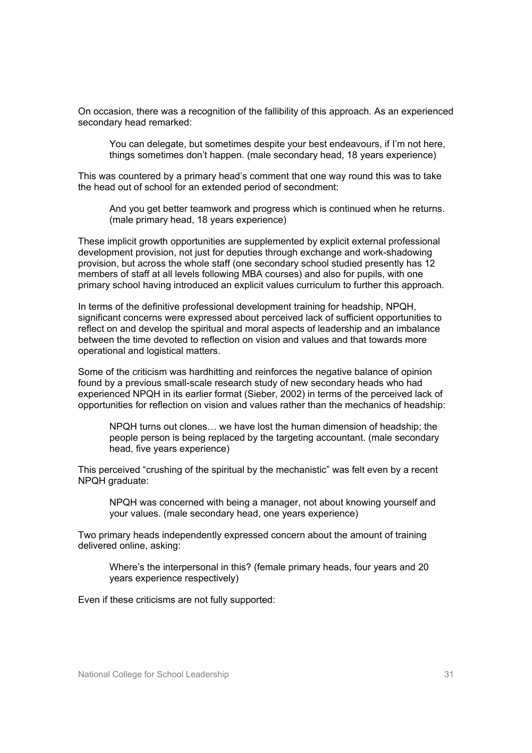On occasion, there was a recognition of the fallibility of this approach. As an experienced secondary head remarked:

You can delegate, but sometimes despite your best endeavours, if I'm not here, things sometimes don't happen. (male secondary head, 18 years experience)

This was countered by a primary head's comment that one way round this was to take the head out of school for an extended period of secondment:

And you get better teamwork and progress which is continued when he returns. (male primary head, 18 years experience)

These implicit growth opportunities are supplemented by explicit external professional development provision, not just for deputies through exchange and work-shadowing provision, but across the whole staff (one secondary school studied presently has 12 members of staff at all levels following MBA courses) and also for pupils, with one primary school having introduced an explicit values curriculum to further this approach.

In terms of the definitive professional development training for headship, NPQH, significant concerns were expressed about perceived lack of sufficient opportunities to reflect on and develop the spiritual and moral aspects of leadership and an imbalance between the time devoted to reflection on vision and values and that towards more operational and logistical matters.

Some of the criticism was hardhitting and reinforces the negative balance of opinion found by a previous small-scale research study of new secondary heads who had experienced NPQH in its earlier format (Sieber, 2002) in terms of the perceived lack of opportunities for reflection on vision and values rather than the mechanics of headship:

NPQH turns out clones… we have lost the human dimension of headship; the people person is being replaced by the targeting accountant. (male secondary head, five years experience)

This perceived "crushing of the spiritual by the mechanistic" was felt even by a recent NPQH graduate:

NPQH was concerned with being a manager, not about knowing yourself and your values. (male secondary head, one years experience)

Two primary heads independently expressed concern about the amount of training delivered online, asking:

Where's the interpersonal in this? (female primary heads, four years and 20 years experience respectively)

Even if these criticisms are not fully supported: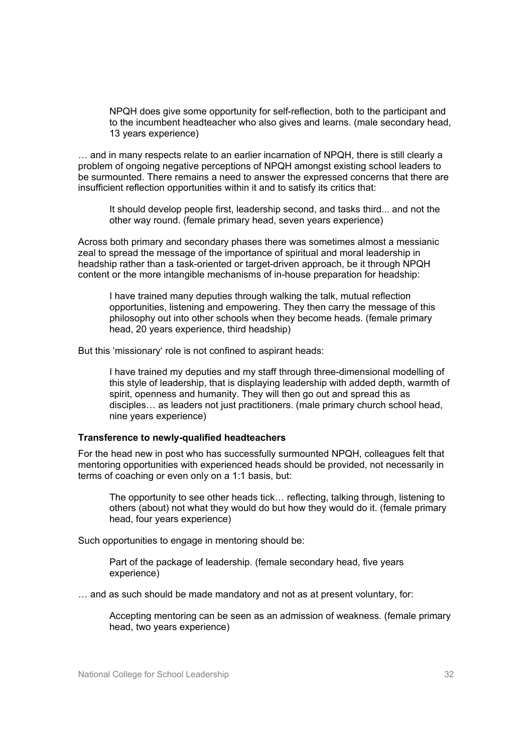NPQH does give some opportunity for self-reflection, both to the participant and to the incumbent headteacher who also gives and learns. (male secondary head, 13 years experience)

… and in many respects relate to an earlier incarnation of NPQH, there is still clearly a problem of ongoing negative perceptions of NPQH amongst existing school leaders to be surmounted. There remains a need to answer the expressed concerns that there are insufficient reflection opportunities within it and to satisfy its critics that:

It should develop people first, leadership second, and tasks third... and not the other way round. (female primary head, seven years experience)

Across both primary and secondary phases there was sometimes almost a messianic zeal to spread the message of the importance of spiritual and moral leadership in headship rather than a task-oriented or target-driven approach, be it through NPQH content or the more intangible mechanisms of in-house preparation for headship:

I have trained many deputies through walking the talk, mutual reflection opportunities, listening and empowering. They then carry the message of this philosophy out into other schools when they become heads. (female primary head, 20 years experience, third headship)

But this 'missionary' role is not confined to aspirant heads:

I have trained my deputies and my staff through three-dimensional modelling of this style of leadership, that is displaying leadership with added depth, warmth of spirit, openness and humanity. They will then go out and spread this as disciples… as leaders not just practitioners. (male primary church school head, nine years experience)

#### **Transference to newly-qualified headteachers**

For the head new in post who has successfully surmounted NPQH, colleagues felt that mentoring opportunities with experienced heads should be provided, not necessarily in terms of coaching or even only on a 1:1 basis, but:

The opportunity to see other heads tick… reflecting, talking through, listening to others (about) not what they would do but how they would do it. (female primary head, four years experience)

Such opportunities to engage in mentoring should be:

Part of the package of leadership. (female secondary head, five years experience)

… and as such should be made mandatory and not as at present voluntary, for:

Accepting mentoring can be seen as an admission of weakness. (female primary head, two years experience)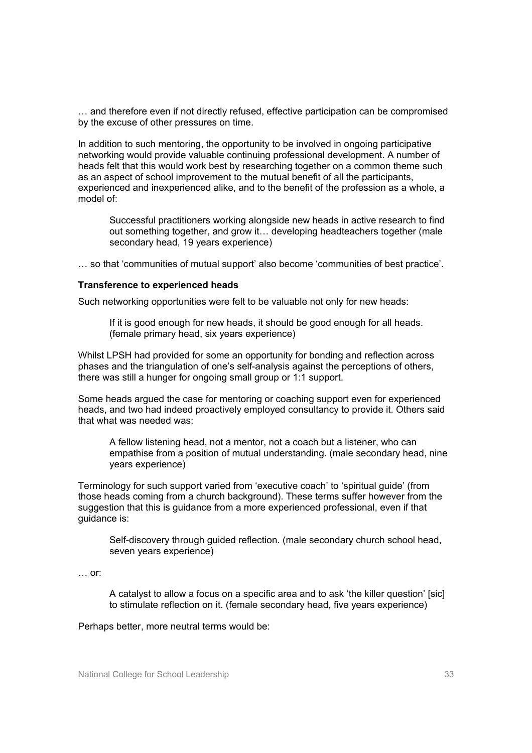… and therefore even if not directly refused, effective participation can be compromised by the excuse of other pressures on time.

In addition to such mentoring, the opportunity to be involved in ongoing participative networking would provide valuable continuing professional development. A number of heads felt that this would work best by researching together on a common theme such as an aspect of school improvement to the mutual benefit of all the participants, experienced and inexperienced alike, and to the benefit of the profession as a whole, a model of:

Successful practitioners working alongside new heads in active research to find out something together, and grow it… developing headteachers together (male secondary head, 19 years experience)

… so that 'communities of mutual support' also become 'communities of best practice'.

#### **Transference to experienced heads**

Such networking opportunities were felt to be valuable not only for new heads:

If it is good enough for new heads, it should be good enough for all heads. (female primary head, six years experience)

Whilst LPSH had provided for some an opportunity for bonding and reflection across phases and the triangulation of one's self-analysis against the perceptions of others, there was still a hunger for ongoing small group or 1:1 support.

Some heads argued the case for mentoring or coaching support even for experienced heads, and two had indeed proactively employed consultancy to provide it. Others said that what was needed was:

A fellow listening head, not a mentor, not a coach but a listener, who can empathise from a position of mutual understanding. (male secondary head, nine years experience)

Terminology for such support varied from 'executive coach' to 'spiritual guide' (from those heads coming from a church background). These terms suffer however from the suggestion that this is guidance from a more experienced professional, even if that guidance is:

Self-discovery through guided reflection. (male secondary church school head, seven years experience)

#### … or:

A catalyst to allow a focus on a specific area and to ask 'the killer question' [sic] to stimulate reflection on it. (female secondary head, five years experience)

#### Perhaps better, more neutral terms would be: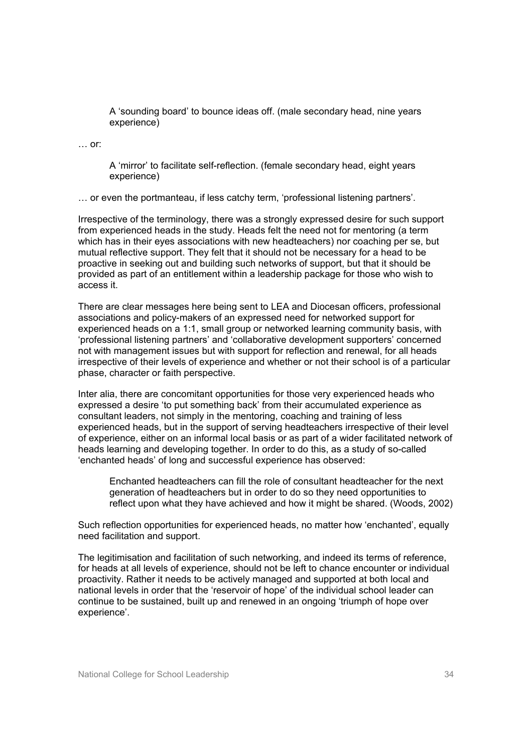A 'sounding board' to bounce ideas off. (male secondary head, nine years experience)

… or:

A 'mirror' to facilitate self-reflection. (female secondary head, eight years experience)

… or even the portmanteau, if less catchy term, 'professional listening partners'.

Irrespective of the terminology, there was a strongly expressed desire for such support from experienced heads in the study. Heads felt the need not for mentoring (a term which has in their eyes associations with new headteachers) nor coaching per se, but mutual reflective support. They felt that it should not be necessary for a head to be proactive in seeking out and building such networks of support, but that it should be provided as part of an entitlement within a leadership package for those who wish to access it.

There are clear messages here being sent to LEA and Diocesan officers, professional associations and policy-makers of an expressed need for networked support for experienced heads on a 1:1, small group or networked learning community basis, with 'professional listening partners' and 'collaborative development supporters' concerned not with management issues but with support for reflection and renewal, for all heads irrespective of their levels of experience and whether or not their school is of a particular phase, character or faith perspective.

Inter alia, there are concomitant opportunities for those very experienced heads who expressed a desire 'to put something back' from their accumulated experience as consultant leaders, not simply in the mentoring, coaching and training of less experienced heads, but in the support of serving headteachers irrespective of their level of experience, either on an informal local basis or as part of a wider facilitated network of heads learning and developing together. In order to do this, as a study of so-called 'enchanted heads' of long and successful experience has observed:

Enchanted headteachers can fill the role of consultant headteacher for the next generation of headteachers but in order to do so they need opportunities to reflect upon what they have achieved and how it might be shared. (Woods, 2002)

Such reflection opportunities for experienced heads, no matter how 'enchanted', equally need facilitation and support.

The legitimisation and facilitation of such networking, and indeed its terms of reference, for heads at all levels of experience, should not be left to chance encounter or individual proactivity. Rather it needs to be actively managed and supported at both local and national levels in order that the 'reservoir of hope' of the individual school leader can continue to be sustained, built up and renewed in an ongoing 'triumph of hope over experience'.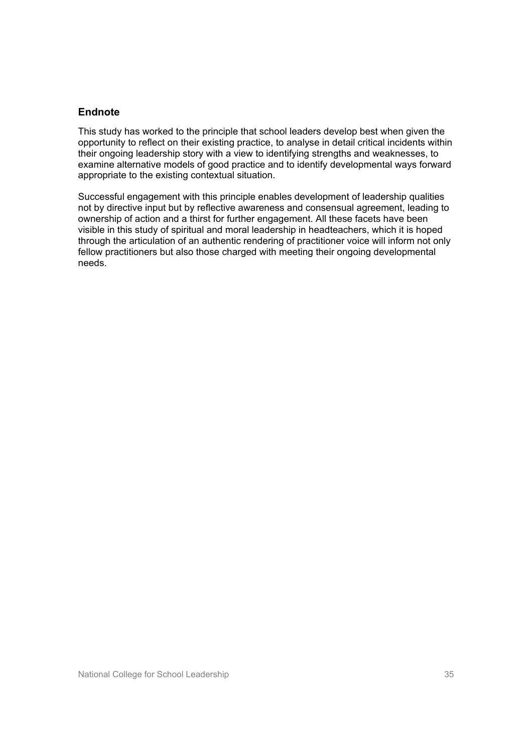#### **Endnote**

This study has worked to the principle that school leaders develop best when given the opportunity to reflect on their existing practice, to analyse in detail critical incidents within their ongoing leadership story with a view to identifying strengths and weaknesses, to examine alternative models of good practice and to identify developmental ways forward appropriate to the existing contextual situation.

Successful engagement with this principle enables development of leadership qualities not by directive input but by reflective awareness and consensual agreement, leading to ownership of action and a thirst for further engagement. All these facets have been visible in this study of spiritual and moral leadership in headteachers, which it is hoped through the articulation of an authentic rendering of practitioner voice will inform not only fellow practitioners but also those charged with meeting their ongoing developmental needs.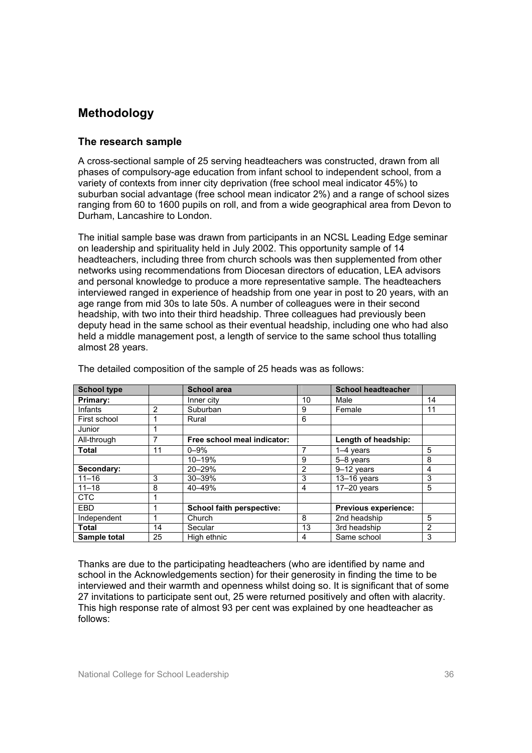# **Methodology**

#### **The research sample**

A cross-sectional sample of 25 serving headteachers was constructed, drawn from all phases of compulsory-age education from infant school to independent school, from a variety of contexts from inner city deprivation (free school meal indicator 45%) to suburban social advantage (free school mean indicator 2%) and a range of school sizes ranging from 60 to 1600 pupils on roll, and from a wide geographical area from Devon to Durham, Lancashire to London.

The initial sample base was drawn from participants in an NCSL Leading Edge seminar on leadership and spirituality held in July 2002. This opportunity sample of 14 headteachers, including three from church schools was then supplemented from other networks using recommendations from Diocesan directors of education, LEA advisors and personal knowledge to produce a more representative sample. The headteachers interviewed ranged in experience of headship from one year in post to 20 years, with an age range from mid 30s to late 50s. A number of colleagues were in their second headship, with two into their third headship. Three colleagues had previously been deputy head in the same school as their eventual headship, including one who had also held a middle management post, a length of service to the same school thus totalling almost 28 years.

| <b>School type</b> |    | <b>School area</b>          |    | <b>School headteacher</b>   |                |
|--------------------|----|-----------------------------|----|-----------------------------|----------------|
| Primary:           |    | Inner city                  | 10 | Male                        | 14             |
| Infants            | 2  | Suburban                    | 9  | Female                      | 11             |
| First school       |    | Rural                       | 6  |                             |                |
| Junior             |    |                             |    |                             |                |
| All-through        |    | Free school meal indicator: |    | Length of headship:         |                |
| <b>Total</b>       | 11 | $0 - 9\%$                   | 7  | $1-4$ years                 | 5              |
|                    |    | 10-19%                      | 9  | 5-8 years                   | 8              |
| Secondary:         |    | $20 - 29%$                  | 2  | 9-12 years                  | 4              |
| $11 - 16$          | 3  | $30 - 39%$                  | 3  | $13-16$ years               | 3              |
| $11 - 18$          | 8  | 40-49%                      | 4  | $17-20$ years               | 5              |
| <b>CTC</b>         |    |                             |    |                             |                |
| EBD                |    | School faith perspective:   |    | <b>Previous experience:</b> |                |
| Independent        |    | Church                      | 8  | 2nd headship                | 5              |
| Total              | 14 | Secular                     | 13 | 3rd headship                | $\overline{2}$ |
| Sample total       | 25 | High ethnic                 | 4  | Same school                 | 3              |

The detailed composition of the sample of 25 heads was as follows:

Thanks are due to the participating headteachers (who are identified by name and school in the Acknowledgements section) for their generosity in finding the time to be interviewed and their warmth and openness whilst doing so. It is significant that of some 27 invitations to participate sent out, 25 were returned positively and often with alacrity. This high response rate of almost 93 per cent was explained by one headteacher as follows: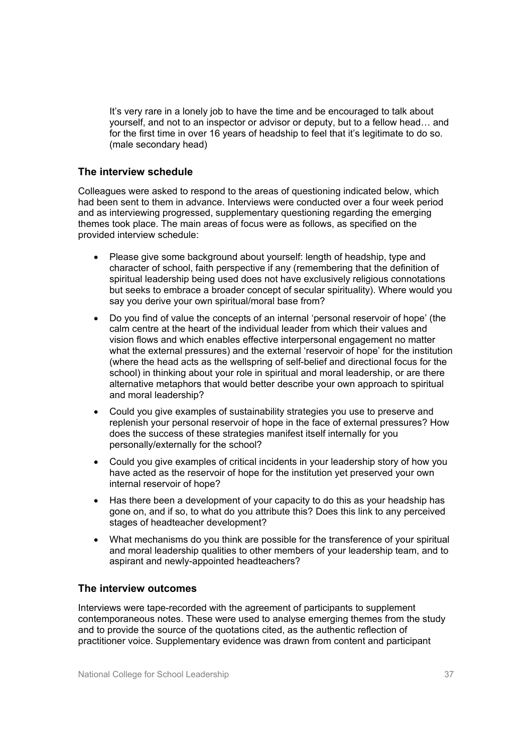It's very rare in a lonely job to have the time and be encouraged to talk about yourself, and not to an inspector or advisor or deputy, but to a fellow head… and for the first time in over 16 years of headship to feel that it's legitimate to do so. (male secondary head)

#### **The interview schedule**

Colleagues were asked to respond to the areas of questioning indicated below, which had been sent to them in advance. Interviews were conducted over a four week period and as interviewing progressed, supplementary questioning regarding the emerging themes took place. The main areas of focus were as follows, as specified on the provided interview schedule:

- Please give some background about yourself: length of headship, type and character of school, faith perspective if any (remembering that the definition of spiritual leadership being used does not have exclusively religious connotations but seeks to embrace a broader concept of secular spirituality). Where would you say you derive your own spiritual/moral base from?
- Do you find of value the concepts of an internal 'personal reservoir of hope' (the calm centre at the heart of the individual leader from which their values and vision flows and which enables effective interpersonal engagement no matter what the external pressures) and the external 'reservoir of hope' for the institution (where the head acts as the wellspring of self-belief and directional focus for the school) in thinking about your role in spiritual and moral leadership, or are there alternative metaphors that would better describe your own approach to spiritual and moral leadership?
- Could you give examples of sustainability strategies you use to preserve and replenish your personal reservoir of hope in the face of external pressures? How does the success of these strategies manifest itself internally for you personally/externally for the school?
- Could you give examples of critical incidents in your leadership story of how you have acted as the reservoir of hope for the institution yet preserved your own internal reservoir of hope?
- Has there been a development of your capacity to do this as your headship has gone on, and if so, to what do you attribute this? Does this link to any perceived stages of headteacher development?
- What mechanisms do you think are possible for the transference of your spiritual and moral leadership qualities to other members of your leadership team, and to aspirant and newly-appointed headteachers?

#### **The interview outcomes**

Interviews were tape-recorded with the agreement of participants to supplement contemporaneous notes. These were used to analyse emerging themes from the study and to provide the source of the quotations cited, as the authentic reflection of practitioner voice. Supplementary evidence was drawn from content and participant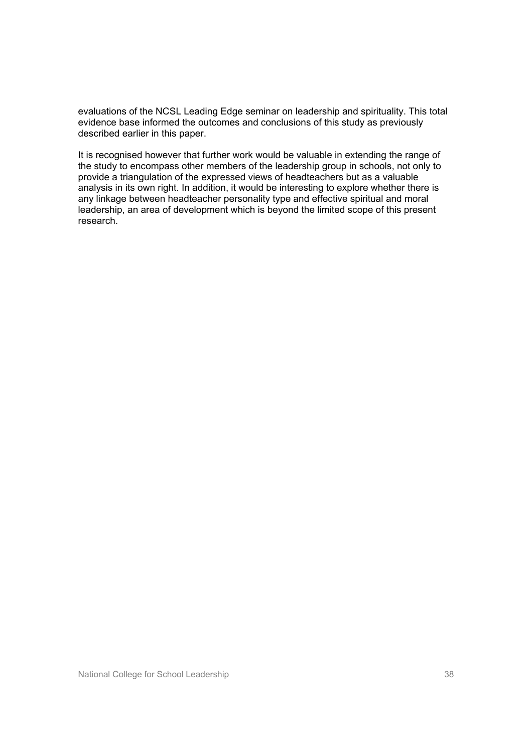evaluations of the NCSL Leading Edge seminar on leadership and spirituality. This total evidence base informed the outcomes and conclusions of this study as previously described earlier in this paper.

It is recognised however that further work would be valuable in extending the range of the study to encompass other members of the leadership group in schools, not only to provide a triangulation of the expressed views of headteachers but as a valuable analysis in its own right. In addition, it would be interesting to explore whether there is any linkage between headteacher personality type and effective spiritual and moral leadership, an area of development which is beyond the limited scope of this present research.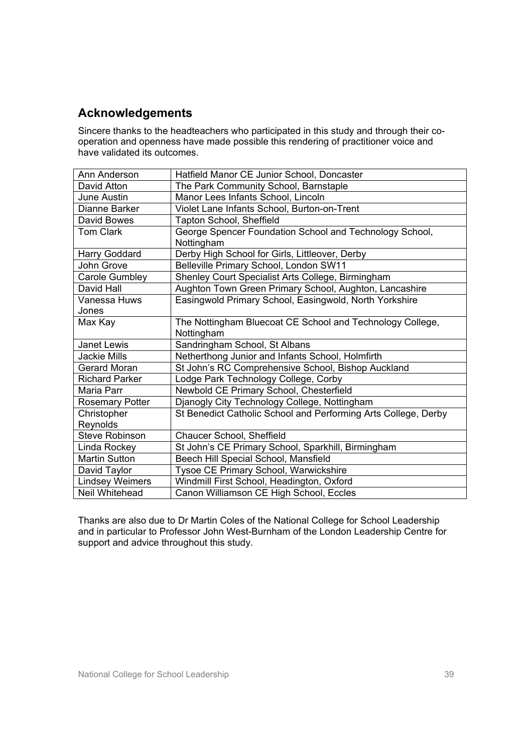## **Acknowledgements**

Sincere thanks to the headteachers who participated in this study and through their cooperation and openness have made possible this rendering of practitioner voice and have validated its outcomes.

| Ann Anderson           | Hatfield Manor CE Junior School, Doncaster                     |
|------------------------|----------------------------------------------------------------|
| David Atton            | The Park Community School, Barnstaple                          |
| June Austin            | Manor Lees Infants School, Lincoln                             |
| Dianne Barker          | Violet Lane Infants School, Burton-on-Trent                    |
| <b>David Bowes</b>     | Tapton School, Sheffield                                       |
| <b>Tom Clark</b>       | George Spencer Foundation School and Technology School,        |
|                        | Nottingham                                                     |
| Harry Goddard          | Derby High School for Girls, Littleover, Derby                 |
| John Grove             | Belleville Primary School, London SW11                         |
| <b>Carole Gumbley</b>  | Shenley Court Specialist Arts College, Birmingham              |
| David Hall             | Aughton Town Green Primary School, Aughton, Lancashire         |
| Vanessa Huws           | Easingwold Primary School, Easingwold, North Yorkshire         |
| Jones                  |                                                                |
| Max Kay                | The Nottingham Bluecoat CE School and Technology College,      |
|                        | Nottingham                                                     |
| Janet Lewis            | Sandringham School, St Albans                                  |
| <b>Jackie Mills</b>    | Netherthong Junior and Infants School, Holmfirth               |
| Gerard Moran           | St John's RC Comprehensive School, Bishop Auckland             |
| <b>Richard Parker</b>  | Lodge Park Technology College, Corby                           |
| Maria Parr             | Newbold CE Primary School, Chesterfield                        |
| Rosemary Potter        | Djanogly City Technology College, Nottingham                   |
| Christopher            | St Benedict Catholic School and Performing Arts College, Derby |
| Reynolds               |                                                                |
| <b>Steve Robinson</b>  | Chaucer School, Sheffield                                      |
| Linda Rockey           | St John's CE Primary School, Sparkhill, Birmingham             |
| <b>Martin Sutton</b>   | Beech Hill Special School, Mansfield                           |
| David Taylor           | Tysoe CE Primary School, Warwickshire                          |
| <b>Lindsey Weimers</b> | Windmill First School, Headington, Oxford                      |
| Neil Whitehead         | Canon Williamson CE High School, Eccles                        |

Thanks are also due to Dr Martin Coles of the National College for School Leadership and in particular to Professor John West-Burnham of the London Leadership Centre for support and advice throughout this study.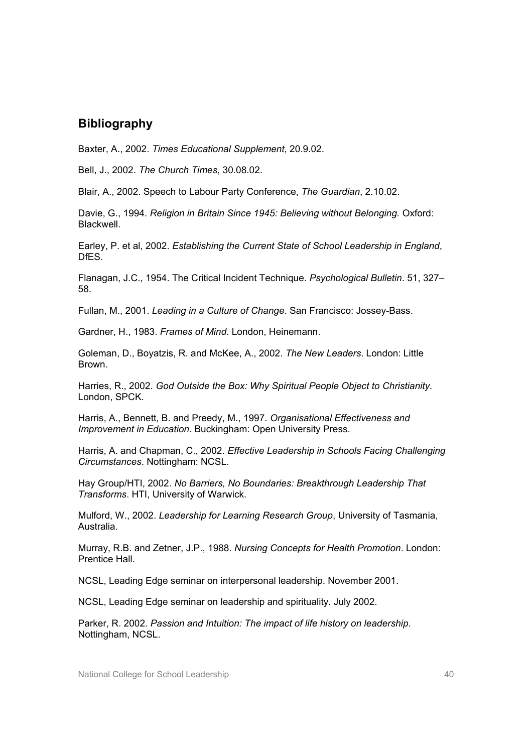## **Bibliography**

Baxter, A., 2002. *Times Educational Supplement*, 20.9.02.

Bell, J., 2002. *The Church Times*, 30.08.02.

Blair, A., 2002. Speech to Labour Party Conference, *The Guardian*, 2.10.02.

Davie, G., 1994. *Religion in Britain Since 1945: Believing without Belonging.* Oxford: **Blackwell** 

Earley, P. et al, 2002. *Establishing the Current State of School Leadership in England*, **DfFS** 

Flanagan, J.C., 1954. The Critical Incident Technique. *Psychological Bulletin*. 51, 327– 58.

Fullan, M., 2001. *Leading in a Culture of Change*. San Francisco: Jossey-Bass.

Gardner, H., 1983. *Frames of Mind*. London, Heinemann.

Goleman, D., Boyatzis, R. and McKee, A., 2002. *The New Leaders*. London: Little Brown.

Harries, R., 2002. *God Outside the Box: Why Spiritual People Object to Christianity*. London, SPCK.

Harris, A., Bennett, B. and Preedy, M., 1997. *Organisational Effectiveness and Improvement in Education*. Buckingham: Open University Press.

Harris, A. and Chapman, C., 2002. *Effective Leadership in Schools Facing Challenging Circumstances*. Nottingham: NCSL.

Hay Group/HTI, 2002. *No Barriers, No Boundaries: Breakthrough Leadership That Transforms*. HTI, University of Warwick.

Mulford, W., 2002. *Leadership for Learning Research Group*, University of Tasmania, Australia.

Murray, R.B. and Zetner, J.P., 1988. *Nursing Concepts for Health Promotion*. London: Prentice Hall.

NCSL, Leading Edge seminar on interpersonal leadership. November 2001.

NCSL, Leading Edge seminar on leadership and spirituality. July 2002.

Parker, R. 2002. *Passion and Intuition: The impact of life history on leadership*. Nottingham, NCSL.

National College for School Leadership 40 and  $40<sup>40</sup>$